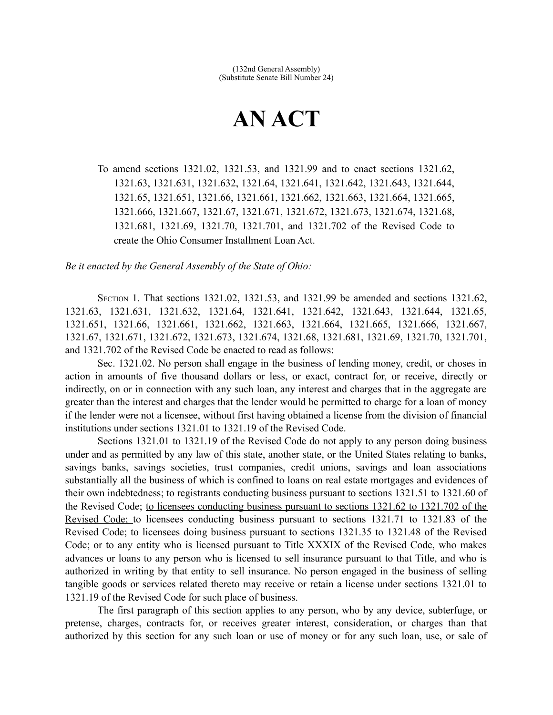## **AN ACT**

To amend sections 1321.02, 1321.53, and 1321.99 and to enact sections 1321.62, 1321.63, 1321.631, 1321.632, 1321.64, 1321.641, 1321.642, 1321.643, 1321.644, 1321.65, 1321.651, 1321.66, 1321.661, 1321.662, 1321.663, 1321.664, 1321.665, 1321.666, 1321.667, 1321.67, 1321.671, 1321.672, 1321.673, 1321.674, 1321.68, 1321.681, 1321.69, 1321.70, 1321.701, and 1321.702 of the Revised Code to create the Ohio Consumer Installment Loan Act.

*Be it enacted by the General Assembly of the State of Ohio:*

SECTION 1. That sections 1321.02, 1321.53, and 1321.99 be amended and sections 1321.62, 1321.63, 1321.631, 1321.632, 1321.64, 1321.641, 1321.642, 1321.643, 1321.644, 1321.65, 1321.651, 1321.66, 1321.661, 1321.662, 1321.663, 1321.664, 1321.665, 1321.666, 1321.667, 1321.67, 1321.671, 1321.672, 1321.673, 1321.674, 1321.68, 1321.681, 1321.69, 1321.70, 1321.701, and 1321.702 of the Revised Code be enacted to read as follows:

Sec. 1321.02. No person shall engage in the business of lending money, credit, or choses in action in amounts of five thousand dollars or less, or exact, contract for, or receive, directly or indirectly, on or in connection with any such loan, any interest and charges that in the aggregate are greater than the interest and charges that the lender would be permitted to charge for a loan of money if the lender were not a licensee, without first having obtained a license from the division of financial institutions under sections 1321.01 to 1321.19 of the Revised Code.

Sections 1321.01 to 1321.19 of the Revised Code do not apply to any person doing business under and as permitted by any law of this state, another state, or the United States relating to banks, savings banks, savings societies, trust companies, credit unions, savings and loan associations substantially all the business of which is confined to loans on real estate mortgages and evidences of their own indebtedness; to registrants conducting business pursuant to sections 1321.51 to 1321.60 of the Revised Code; to licensees conducting business pursuant to sections 1321.62 to 1321.702 of the Revised Code; to licensees conducting business pursuant to sections 1321.71 to 1321.83 of the Revised Code; to licensees doing business pursuant to sections 1321.35 to 1321.48 of the Revised Code; or to any entity who is licensed pursuant to Title XXXIX of the Revised Code, who makes advances or loans to any person who is licensed to sell insurance pursuant to that Title, and who is authorized in writing by that entity to sell insurance. No person engaged in the business of selling tangible goods or services related thereto may receive or retain a license under sections 1321.01 to 1321.19 of the Revised Code for such place of business.

The first paragraph of this section applies to any person, who by any device, subterfuge, or pretense, charges, contracts for, or receives greater interest, consideration, or charges than that authorized by this section for any such loan or use of money or for any such loan, use, or sale of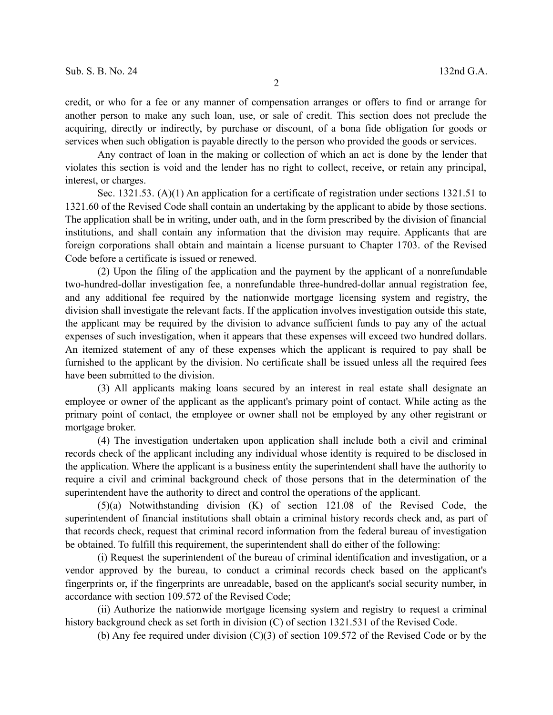credit, or who for a fee or any manner of compensation arranges or offers to find or arrange for another person to make any such loan, use, or sale of credit. This section does not preclude the acquiring, directly or indirectly, by purchase or discount, of a bona fide obligation for goods or services when such obligation is payable directly to the person who provided the goods or services.

Any contract of loan in the making or collection of which an act is done by the lender that violates this section is void and the lender has no right to collect, receive, or retain any principal, interest, or charges.

Sec. 1321.53. (A)(1) An application for a certificate of registration under sections 1321.51 to 1321.60 of the Revised Code shall contain an undertaking by the applicant to abide by those sections. The application shall be in writing, under oath, and in the form prescribed by the division of financial institutions, and shall contain any information that the division may require. Applicants that are foreign corporations shall obtain and maintain a license pursuant to Chapter 1703. of the Revised Code before a certificate is issued or renewed.

(2) Upon the filing of the application and the payment by the applicant of a nonrefundable two-hundred-dollar investigation fee, a nonrefundable three-hundred-dollar annual registration fee, and any additional fee required by the nationwide mortgage licensing system and registry, the division shall investigate the relevant facts. If the application involves investigation outside this state, the applicant may be required by the division to advance sufficient funds to pay any of the actual expenses of such investigation, when it appears that these expenses will exceed two hundred dollars. An itemized statement of any of these expenses which the applicant is required to pay shall be furnished to the applicant by the division. No certificate shall be issued unless all the required fees have been submitted to the division.

(3) All applicants making loans secured by an interest in real estate shall designate an employee or owner of the applicant as the applicant's primary point of contact. While acting as the primary point of contact, the employee or owner shall not be employed by any other registrant or mortgage broker.

(4) The investigation undertaken upon application shall include both a civil and criminal records check of the applicant including any individual whose identity is required to be disclosed in the application. Where the applicant is a business entity the superintendent shall have the authority to require a civil and criminal background check of those persons that in the determination of the superintendent have the authority to direct and control the operations of the applicant.

(5)(a) Notwithstanding division (K) of section 121.08 of the Revised Code, the superintendent of financial institutions shall obtain a criminal history records check and, as part of that records check, request that criminal record information from the federal bureau of investigation be obtained. To fulfill this requirement, the superintendent shall do either of the following:

(i) Request the superintendent of the bureau of criminal identification and investigation, or a vendor approved by the bureau, to conduct a criminal records check based on the applicant's fingerprints or, if the fingerprints are unreadable, based on the applicant's social security number, in accordance with section 109.572 of the Revised Code;

(ii) Authorize the nationwide mortgage licensing system and registry to request a criminal history background check as set forth in division (C) of section 1321.531 of the Revised Code.

(b) Any fee required under division (C)(3) of section 109.572 of the Revised Code or by the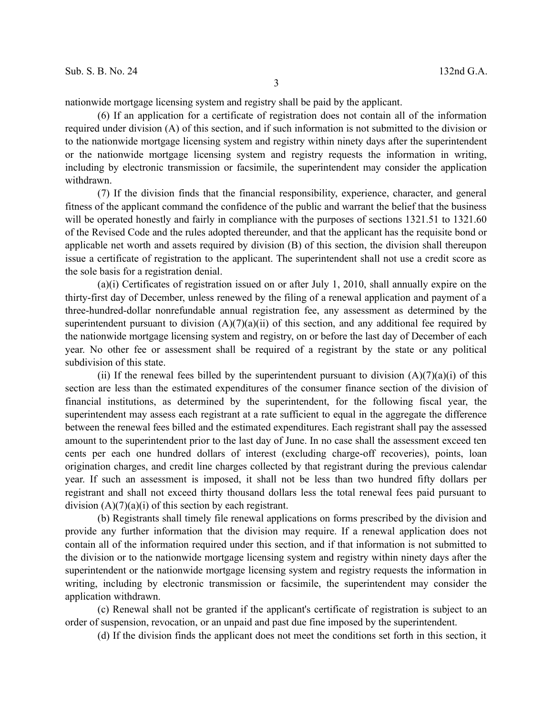nationwide mortgage licensing system and registry shall be paid by the applicant.

(6) If an application for a certificate of registration does not contain all of the information required under division (A) of this section, and if such information is not submitted to the division or to the nationwide mortgage licensing system and registry within ninety days after the superintendent or the nationwide mortgage licensing system and registry requests the information in writing, including by electronic transmission or facsimile, the superintendent may consider the application withdrawn.

(7) If the division finds that the financial responsibility, experience, character, and general fitness of the applicant command the confidence of the public and warrant the belief that the business will be operated honestly and fairly in compliance with the purposes of sections 1321.51 to 1321.60 of the Revised Code and the rules adopted thereunder, and that the applicant has the requisite bond or applicable net worth and assets required by division (B) of this section, the division shall thereupon issue a certificate of registration to the applicant. The superintendent shall not use a credit score as the sole basis for a registration denial.

(a)(i) Certificates of registration issued on or after July 1, 2010, shall annually expire on the thirty-first day of December, unless renewed by the filing of a renewal application and payment of a three-hundred-dollar nonrefundable annual registration fee, any assessment as determined by the superintendent pursuant to division  $(A)(7)(a)(ii)$  of this section, and any additional fee required by the nationwide mortgage licensing system and registry, on or before the last day of December of each year. No other fee or assessment shall be required of a registrant by the state or any political subdivision of this state.

(ii) If the renewal fees billed by the superintendent pursuant to division  $(A)(7)(a)(i)$  of this section are less than the estimated expenditures of the consumer finance section of the division of financial institutions, as determined by the superintendent, for the following fiscal year, the superintendent may assess each registrant at a rate sufficient to equal in the aggregate the difference between the renewal fees billed and the estimated expenditures. Each registrant shall pay the assessed amount to the superintendent prior to the last day of June. In no case shall the assessment exceed ten cents per each one hundred dollars of interest (excluding charge-off recoveries), points, loan origination charges, and credit line charges collected by that registrant during the previous calendar year. If such an assessment is imposed, it shall not be less than two hundred fifty dollars per registrant and shall not exceed thirty thousand dollars less the total renewal fees paid pursuant to division  $(A)(7)(a)(i)$  of this section by each registrant.

(b) Registrants shall timely file renewal applications on forms prescribed by the division and provide any further information that the division may require. If a renewal application does not contain all of the information required under this section, and if that information is not submitted to the division or to the nationwide mortgage licensing system and registry within ninety days after the superintendent or the nationwide mortgage licensing system and registry requests the information in writing, including by electronic transmission or facsimile, the superintendent may consider the application withdrawn.

(c) Renewal shall not be granted if the applicant's certificate of registration is subject to an order of suspension, revocation, or an unpaid and past due fine imposed by the superintendent.

(d) If the division finds the applicant does not meet the conditions set forth in this section, it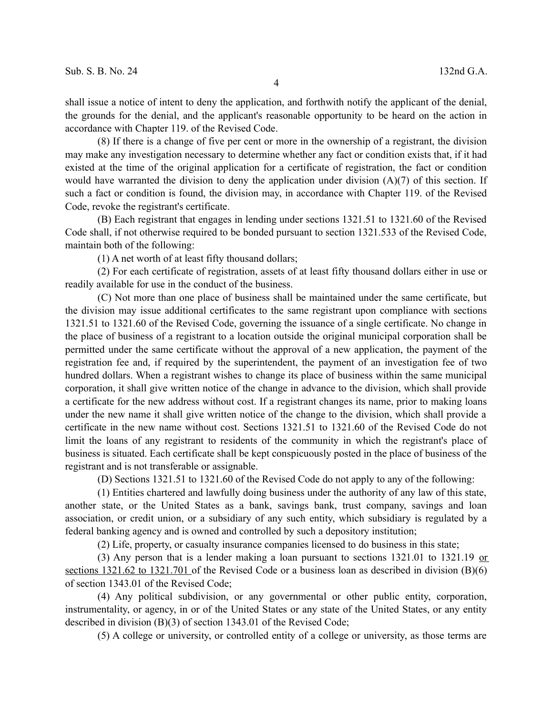shall issue a notice of intent to deny the application, and forthwith notify the applicant of the denial, the grounds for the denial, and the applicant's reasonable opportunity to be heard on the action in accordance with Chapter 119. of the Revised Code.

(8) If there is a change of five per cent or more in the ownership of a registrant, the division may make any investigation necessary to determine whether any fact or condition exists that, if it had existed at the time of the original application for a certificate of registration, the fact or condition would have warranted the division to deny the application under division (A)(7) of this section. If such a fact or condition is found, the division may, in accordance with Chapter 119. of the Revised Code, revoke the registrant's certificate.

(B) Each registrant that engages in lending under sections 1321.51 to 1321.60 of the Revised Code shall, if not otherwise required to be bonded pursuant to section 1321.533 of the Revised Code, maintain both of the following:

(1) A net worth of at least fifty thousand dollars;

(2) For each certificate of registration, assets of at least fifty thousand dollars either in use or readily available for use in the conduct of the business.

(C) Not more than one place of business shall be maintained under the same certificate, but the division may issue additional certificates to the same registrant upon compliance with sections 1321.51 to 1321.60 of the Revised Code, governing the issuance of a single certificate. No change in the place of business of a registrant to a location outside the original municipal corporation shall be permitted under the same certificate without the approval of a new application, the payment of the registration fee and, if required by the superintendent, the payment of an investigation fee of two hundred dollars. When a registrant wishes to change its place of business within the same municipal corporation, it shall give written notice of the change in advance to the division, which shall provide a certificate for the new address without cost. If a registrant changes its name, prior to making loans under the new name it shall give written notice of the change to the division, which shall provide a certificate in the new name without cost. Sections 1321.51 to 1321.60 of the Revised Code do not limit the loans of any registrant to residents of the community in which the registrant's place of business is situated. Each certificate shall be kept conspicuously posted in the place of business of the registrant and is not transferable or assignable.

(D) Sections 1321.51 to 1321.60 of the Revised Code do not apply to any of the following:

(1) Entities chartered and lawfully doing business under the authority of any law of this state, another state, or the United States as a bank, savings bank, trust company, savings and loan association, or credit union, or a subsidiary of any such entity, which subsidiary is regulated by a federal banking agency and is owned and controlled by such a depository institution;

(2) Life, property, or casualty insurance companies licensed to do business in this state;

(3) Any person that is a lender making a loan pursuant to sections 1321.01 to 1321.19 or sections 1321.62 to 1321.701 of the Revised Code or a business loan as described in division (B)(6) of section 1343.01 of the Revised Code;

(4) Any political subdivision, or any governmental or other public entity, corporation, instrumentality, or agency, in or of the United States or any state of the United States, or any entity described in division (B)(3) of section 1343.01 of the Revised Code;

(5) A college or university, or controlled entity of a college or university, as those terms are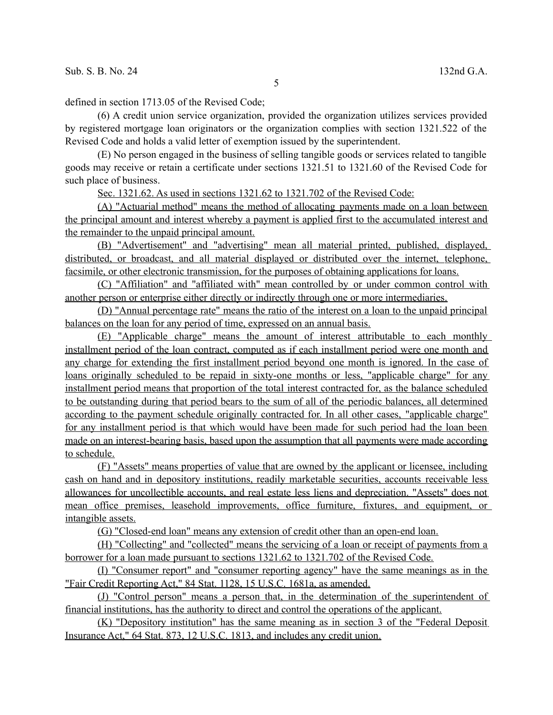defined in section 1713.05 of the Revised Code;

(6) A credit union service organization, provided the organization utilizes services provided by registered mortgage loan originators or the organization complies with section 1321.522 of the Revised Code and holds a valid letter of exemption issued by the superintendent.

(E) No person engaged in the business of selling tangible goods or services related to tangible goods may receive or retain a certificate under sections 1321.51 to 1321.60 of the Revised Code for such place of business.

Sec. 1321.62. As used in sections 1321.62 to 1321.702 of the Revised Code:

 (A) "Actuarial method" means the method of allocating payments made on a loan between the principal amount and interest whereby a payment is applied first to the accumulated interest and the remainder to the unpaid principal amount.

 (B) "Advertisement" and "advertising" mean all material printed, published, displayed, distributed, or broadcast, and all material displayed or distributed over the internet, telephone, facsimile, or other electronic transmission, for the purposes of obtaining applications for loans.

 (C) "Affiliation" and "affiliated with" mean controlled by or under common control with another person or enterprise either directly or indirectly through one or more intermediaries.

 (D) "Annual percentage rate" means the ratio of the interest on a loan to the unpaid principal balances on the loan for any period of time, expressed on an annual basis.

 (E) "Applicable charge" means the amount of interest attributable to each monthly installment period of the loan contract, computed as if each installment period were one month and any charge for extending the first installment period beyond one month is ignored. In the case of loans originally scheduled to be repaid in sixty-one months or less, "applicable charge" for any installment period means that proportion of the total interest contracted for, as the balance scheduled to be outstanding during that period bears to the sum of all of the periodic balances, all determined according to the payment schedule originally contracted for. In all other cases, "applicable charge" for any installment period is that which would have been made for such period had the loan been made on an interest-bearing basis, based upon the assumption that all payments were made according to schedule.

 (F) "Assets" means properties of value that are owned by the applicant or licensee, including cash on hand and in depository institutions, readily marketable securities, accounts receivable less allowances for uncollectible accounts, and real estate less liens and depreciation. "Assets" does not mean office premises, leasehold improvements, office furniture, fixtures, and equipment, or intangible assets.

(G) "Closed-end loan" means any extension of credit other than an open-end loan.

(H) "Collecting" and "collected" means the servicing of a loan or receipt of payments from a borrower for a loan made pursuant to sections 1321.62 to 1321.702 of the Revised Code.

 (I) "Consumer report" and "consumer reporting agency" have the same meanings as in the "Fair Credit Reporting Act," 84 Stat. 1128, 15 U.S.C. 1681a, as amended.

 (J) "Control person" means a person that, in the determination of the superintendent of financial institutions, has the authority to direct and control the operations of the applicant.

 (K) "Depository institution" has the same meaning as in section 3 of the "Federal Deposit Insurance Act," 64 Stat. 873, 12 U.S.C. 1813, and includes any credit union.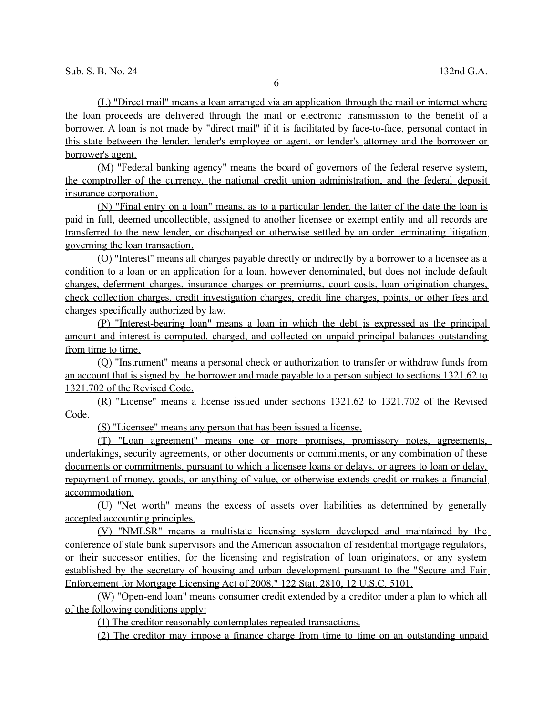(L) "Direct mail" means a loan arranged via an application through the mail or internet where the loan proceeds are delivered through the mail or electronic transmission to the benefit of a borrower. A loan is not made by "direct mail" if it is facilitated by face-to-face, personal contact in this state between the lender, lender's employee or agent, or lender's attorney and the borrower or borrower's agent.

 (M) "Federal banking agency" means the board of governors of the federal reserve system, the comptroller of the currency, the national credit union administration, and the federal deposit insurance corporation.

 (N) "Final entry on a loan" means, as to a particular lender, the latter of the date the loan is paid in full, deemed uncollectible, assigned to another licensee or exempt entity and all records are transferred to the new lender, or discharged or otherwise settled by an order terminating litigation governing the loan transaction.

 (O) "Interest" means all charges payable directly or indirectly by a borrower to a licensee as a condition to a loan or an application for a loan, however denominated, but does not include default charges, deferment charges, insurance charges or premiums, court costs, loan origination charges, check collection charges, credit investigation charges, credit line charges, points, or other fees and charges specifically authorized by law.

 (P) "Interest-bearing loan" means a loan in which the debt is expressed as the principal amount and interest is computed, charged, and collected on unpaid principal balances outstanding from time to time.

 (Q) "Instrument" means a personal check or authorization to transfer or withdraw funds from an account that is signed by the borrower and made payable to a person subject to sections 1321.62 to 1321.702 of the Revised Code.

 (R) "License" means a license issued under sections 1321.62 to 1321.702 of the Revised Code.

(S) "Licensee" means any person that has been issued a license.

 ( T) "Loan agreement" means one or more promises, promissory notes, agreements, undertakings, security agreements, or other documents or commitments, or any combination of these documents or commitments, pursuant to which a licensee loans or delays, or agrees to loan or delay, repayment of money, goods, or anything of value, or otherwise extends credit or makes a financial accommodation.

 (U) "Net worth" means the excess of assets over liabilities as determined by generally accepted accounting principles.

 (V) "NMLSR" means a multistate licensing system developed and maintained by the conference of state bank supervisors and the American association of residential mortgage regulators, or their successor entities, for the licensing and registration of loan originators, or any system established by the secretary of housing and urban development pursuant to the "Secure and Fair Enforcement for Mortgage Licensing Act of 2008," 122 Stat. 2810, 12 U.S.C. 5101.

 (W) "Open-end loan" means consumer credit extended by a creditor under a plan to which all of the following conditions apply:

(1) The creditor reasonably contemplates repeated transactions.

(2) The creditor may impose a finance charge from time to time on an outstanding unpaid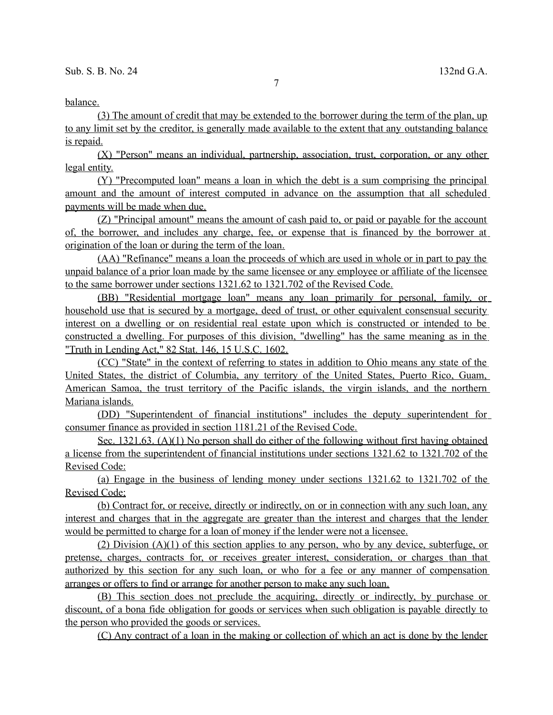## balance.

 (3) The amount of credit that may be extended to the borrower during the term of the plan, up to any limit set by the creditor, is generally made available to the extent that any outstanding balance is repaid.

 (X) "Person" means an individual, partnership, association, trust, corporation, or any other legal entity.

 (Y) "Precomputed loan" means a loan in which the debt is a sum comprising the principal amount and the amount of interest computed in advance on the assumption that all scheduled payments will be made when due.

 (Z) "Principal amount" means the amount of cash paid to, or paid or payable for the account of, the borrower, and includes any charge, fee, or expense that is financed by the borrower at origination of the loan or during the term of the loan.

 (AA) "Refinance" means a loan the proceeds of which are used in whole or in part to pay the unpaid balance of a prior loan made by the same licensee or any employee or affiliate of the licensee to the same borrower under sections 1321.62 to 1321.702 of the Revised Code.

 (BB) "Residential mortgage loan" means any loan primarily for personal, family, or household use that is secured by a mortgage, deed of trust, or other equivalent consensual security interest on a dwelling or on residential real estate upon which is constructed or intended to be constructed a dwelling. For purposes of this division, "dwelling" has the same meaning as in the "Truth in Lending Act," 82 Stat. 146, 15 U.S.C. 1602.

 (CC) "State" in the context of referring to states in addition to Ohio means any state of the United States, the district of Columbia, any territory of the United States, Puerto Rico, Guam, American Samoa, the trust territory of the Pacific islands, the virgin islands, and the northern Mariana islands.

 (DD) "Superintendent of financial institutions" includes the deputy superintendent for consumer finance as provided in section 1181.21 of the Revised Code.

 Sec. 1321.63. (A)(1) No person shall do either of the following without first having obtained a license from the superintendent of financial institutions under sections 1321.62 to 1321.702 of the Revised Code:

 (a) Engage in the business of lending money under sections 1321.62 to 1321.702 of the Revised Code;

 (b) Contract for, or receive, directly or indirectly, on or in connection with any such loan, any interest and charges that in the aggregate are greater than the interest and charges that the lender would be permitted to charge for a loan of money if the lender were not a licensee.

 (2) Division (A)(1) of this section applies to any person, who by any device, subterfuge, or pretense, charges, contracts for, or receives greater interest, consideration, or charges than that authorized by this section for any such loan, or who for a fee or any manner of compensation arranges or offers to find or arrange for another person to make any such loan.

 (B) This section does not preclude the acquiring, directly or indirectly, by purchase or discount, of a bona fide obligation for goods or services when such obligation is payable directly to the person who provided the goods or services.

(C) Any contract of a loan in the making or collection of which an act is done by the lender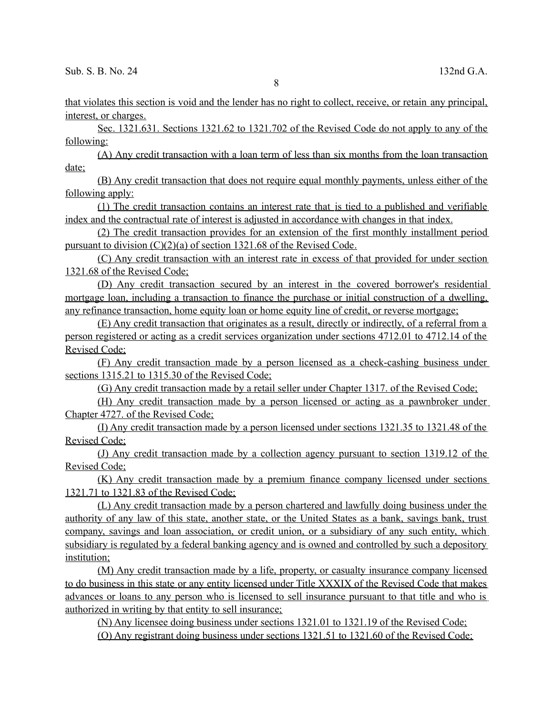that violates this section is void and the lender has no right to collect, receive, or retain any principal, interest, or charges.

 Sec. 1321.631. Sections 1321.62 to 1321.702 of the Revised Code do not apply to any of the following:

 (A) Any credit transaction with a loan term of less than six months from the loan transaction date;

 (B) Any credit transaction that does not require equal monthly payments, unless either of the following apply:

 (1) The credit transaction contains an interest rate that is tied to a published and verifiable index and the contractual rate of interest is adjusted in accordance with changes in that index.

 (2) The credit transaction provides for an extension of the first monthly installment period pursuant to division  $(C)(2)(a)$  of section 1321.68 of the Revised Code.

 (C) Any credit transaction with an interest rate in excess of that provided for under section 1321.68 of the Revised Code;

 (D) Any credit transaction secured by an interest in the covered borrower's residential mortgage loan, including a transaction to finance the purchase or initial construction of a dwelling, any refinance transaction, home equity loan or home equity line of credit, or reverse mortgage;

(E) Any credit transaction that originates as a result, directly or indirectly, of a referral from a person registered or acting as a credit services organization under sections 4712.01 to 4712.14 of the Revised Code;

 (F) Any credit transaction made by a person licensed as a check-cashing business under sections 1315.21 to 1315.30 of the Revised Code;

(G) Any credit transaction made by a retail seller under Chapter 1317. of the Revised Code;

 (H) Any credit transaction made by a person licensed or acting as a pawnbroker under Chapter 4727. of the Revised Code;

 (I) Any credit transaction made by a person licensed under sections 1321.35 to 1321.48 of the Revised Code;

 (J) Any credit transaction made by a collection agency pursuant to section 1319.12 of the Revised Code;

 (K) Any credit transaction made by a premium finance company licensed under sections 1321.71 to 1321.83 of the Revised Code;

 (L) Any credit transaction made by a person chartered and lawfully doing business under the authority of any law of this state, another state, or the United States as a bank, savings bank, trust company, savings and loan association, or credit union, or a subsidiary of any such entity, which subsidiary is regulated by a federal banking agency and is owned and controlled by such a depository institution;

 (M) Any credit transaction made by a life, property, or casualty insurance company licensed to do business in this state or any entity licensed under Title XXXIX of the Revised Code that makes advances or loans to any person who is licensed to sell insurance pursuant to that title and who is authorized in writing by that entity to sell insurance;

(N) Any licensee doing business under sections 1321.01 to 1321.19 of the Revised Code;

(O) Any registrant doing business under sections 1321.51 to 1321.60 of the Revised Code;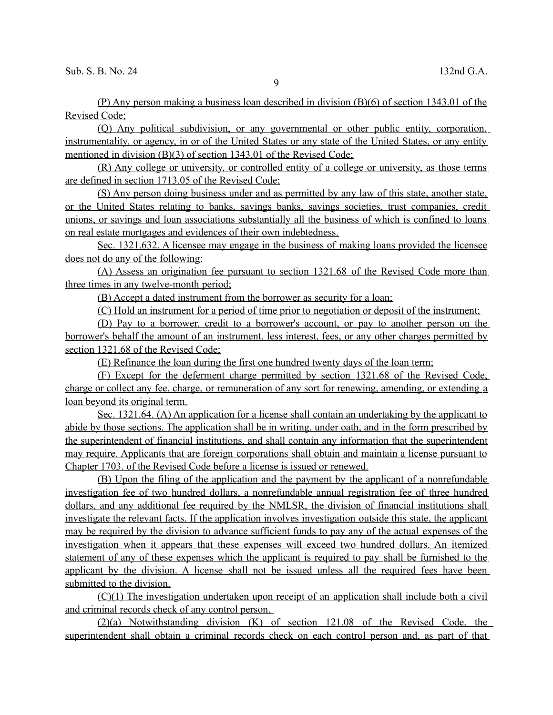(P) Any person making a business loan described in division (B)(6) of section 1343.01 of the Revised Code;

 (Q) Any political subdivision, or any governmental or other public entity, corporation, instrumentality, or agency, in or of the United States or any state of the United States, or any entity mentioned in division (B)(3) of section 1343.01 of the Revised Code;

 (R) Any college or university, or controlled entity of a college or university, as those terms are defined in section 1713.05 of the Revised Code;

 (S) Any person doing business under and as permitted by any law of this state, another state, or the United States relating to banks, savings banks, savings societies, trust companies, credit unions, or savings and loan associations substantially all the business of which is confined to loans on real estate mortgages and evidences of their own indebtedness.

 Sec. 1321.632. A licensee may engage in the business of making loans provided the licensee does not do any of the following:

 (A) Assess an origination fee pursuant to section 1321.68 of the Revised Code more than three times in any twelve-month period;

(B) Accept a dated instrument from the borrower as security for a loan;

(C) Hold an instrument for a period of time prior to negotiation or deposit of the instrument;

(D) Pay to a borrower, credit to a borrower's account, or pay to another person on the borrower's behalf the amount of an instrument, less interest, fees, or any other charges permitted by section 1321.68 of the Revised Code;

(E) Refinance the loan during the first one hundred twenty days of the loan term;

(F) Except for the deferment charge permitted by section 1321.68 of the Revised Code, charge or collect any fee, charge, or remuneration of any sort for renewing, amending, or extending a loan beyond its original term.

 Sec. 1321.64. (A) An application for a license shall contain an undertaking by the applicant to abide by those sections. The application shall be in writing, under oath, and in the form prescribed by the superintendent of financial institutions, and shall contain any information that the superintendent may require. Applicants that are foreign corporations shall obtain and maintain a license pursuant to Chapter 1703. of the Revised Code before a license is issued or renewed.

 (B) Upon the filing of the application and the payment by the applicant of a nonrefundable investigation fee of two hundred dollars, a nonrefundable annual registration fee of three hundred dollars, and any additional fee required by the NMLSR, the division of financial institutions shall investigate the relevant facts. If the application involves investigation outside this state, the applicant may be required by the division to advance sufficient funds to pay any of the actual expenses of the investigation when it appears that these expenses will exceed two hundred dollars. An itemized statement of any of these expenses which the applicant is required to pay shall be furnished to the applicant by the division. A license shall not be issued unless all the required fees have been submitted to the division.

 (C)(1) The investigation undertaken upon receipt of an application shall include both a civil and criminal records check of any control person.

 (2)(a) Notwithstanding division (K) of section 121.08 of the Revised Code, the superintendent shall obtain a criminal records check on each control person and, as part of that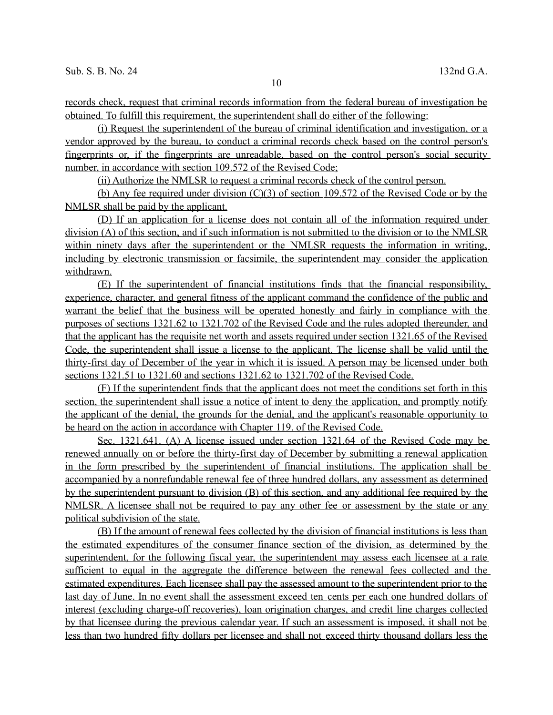records check, request that criminal records information from the federal bureau of investigation be obtained. To fulfill this requirement, the superintendent shall do either of the following:

 (i) Request the superintendent of the bureau of criminal identification and investigation, or a vendor approved by the bureau, to conduct a criminal records check based on the control person's fingerprints or, if the fingerprints are unreadable, based on the control person's social security number, in accordance with section 109.572 of the Revised Code;

(ii) Authorize the NMLSR to request a criminal records check of the control person.

(b) Any fee required under division (C)(3) of section 109.572 of the Revised Code or by the NMLSR shall be paid by the applicant.

 (D) If an application for a license does not contain all of the information required under division (A) of this section, and if such information is not submitted to the division or to the NMLSR within ninety days after the superintendent or the NMLSR requests the information in writing, including by electronic transmission or facsimile, the superintendent may consider the application withdrawn.

 (E) If the superintendent of financial institutions finds that the financial responsibility, experience, character, and general fitness of the applicant command the confidence of the public and warrant the belief that the business will be operated honestly and fairly in compliance with the purposes of sections 1321.62 to 1321.702 of the Revised Code and the rules adopted thereunder, and that the applicant has the requisite net worth and assets required under section 1321.65 of the Revised Code, the superintendent shall issue a license to the applicant. The license shall be valid until the thirty-first day of December of the year in which it is issued. A person may be licensed under both sections 1321.51 to 1321.60 and sections 1321.62 to 1321.702 of the Revised Code.

 (F) If the superintendent finds that the applicant does not meet the conditions set forth in this section, the superintendent shall issue a notice of intent to deny the application, and promptly notify the applicant of the denial, the grounds for the denial, and the applicant's reasonable opportunity to be heard on the action in accordance with Chapter 119. of the Revised Code.

 Sec. 1321.641. (A) A license issued under section 1321.64 of the Revised Code may be renewed annually on or before the thirty-first day of December by submitting a renewal application in the form prescribed by the superintendent of financial institutions. The application shall be accompanied by a nonrefundable renewal fee of three hundred dollars, any assessment as determined by the superintendent pursuant to division (B) of this section, and any additional fee required by the NMLSR. A licensee shall not be required to pay any other fee or assessment by the state or any political subdivision of the state.

 (B) If the amount of renewal fees collected by the division of financial institutions is less than the estimated expenditures of the consumer finance section of the division, as determined by the superintendent, for the following fiscal year, the superintendent may assess each licensee at a rate sufficient to equal in the aggregate the difference between the renewal fees collected and the estimated expenditures. Each licensee shall pay the assessed amount to the superintendent prior to the last day of June. In no event shall the assessment exceed ten cents per each one hundred dollars of interest (excluding charge-off recoveries), loan origination charges, and credit line charges collected by that licensee during the previous calendar year. If such an assessment is imposed, it shall not be less than two hundred fifty dollars per licensee and shall not exceed thirty thousand dollars less the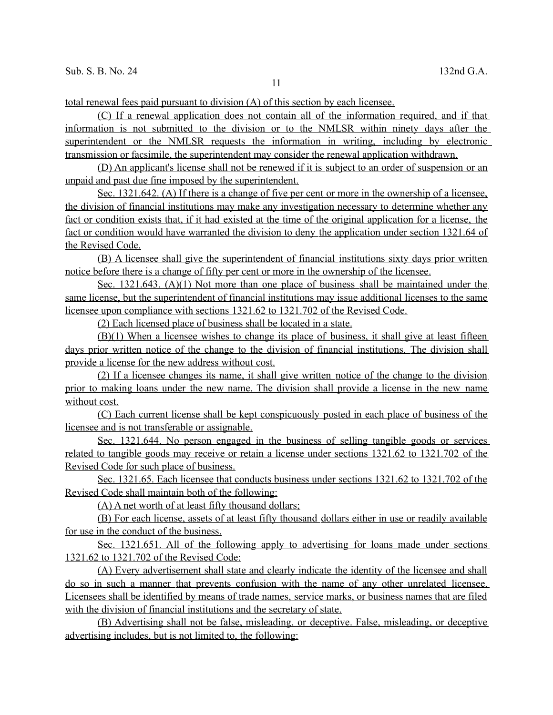total renewal fees paid pursuant to division (A) of this section by each licensee.

 (C) If a renewal application does not contain all of the information required, and if that information is not submitted to the division or to the NMLSR within ninety days after the superintendent or the NMLSR requests the information in writing, including by electronic transmission or facsimile, the superintendent may consider the renewal application withdrawn.

 (D) An applicant's license shall not be renewed if it is subject to an order of suspension or an unpaid and past due fine imposed by the superintendent.

 Sec. 1321.642. (A) If there is a change of five per cent or more in the ownership of a licensee, the division of financial institutions may make any investigation necessary to determine whether any fact or condition exists that, if it had existed at the time of the original application for a license, the fact or condition would have warranted the division to deny the application under section 1321.64 of the Revised Code.

 (B) A licensee shall give the superintendent of financial institutions sixty days prior written notice before there is a change of fifty per cent or more in the ownership of the licensee.

 Sec. 1321.643. (A)(1) Not more than one place of business shall be maintained under the same license, but the superintendent of financial institutions may issue additional licenses to the same licensee upon compliance with sections 1321.62 to 1321.702 of the Revised Code.

(2) Each licensed place of business shall be located in a state.

(B)(1) When a licensee wishes to change its place of business, it shall give at least fifteen days prior written notice of the change to the division of financial institutions. The division shall provide a license for the new address without cost.

 (2) If a licensee changes its name, it shall give written notice of the change to the division prior to making loans under the new name. The division shall provide a license in the new name without cost.

 (C) Each current license shall be kept conspicuously posted in each place of business of the licensee and is not transferable or assignable.

 Sec. 1321.644. No person engaged in the business of selling tangible goods or services related to tangible goods may receive or retain a license under sections 1321.62 to 1321.702 of the Revised Code for such place of business.

 Sec. 1321.65. Each licensee that conducts business under sections 1321.62 to 1321.702 of the Revised Code shall maintain both of the following:

(A) A net worth of at least fifty thousand dollars;

 (B) For each license, assets of at least fifty thousand dollars either in use or readily available for use in the conduct of the business.

 Sec. 1321.651. All of the following apply to advertising for loans made under sections 1321.62 to 1321.702 of the Revised Code:

 (A) Every advertisement shall state and clearly indicate the identity of the licensee and shall do so in such a manner that prevents confusion with the name of any other unrelated licensee. Licensees shall be identified by means of trade names, service marks, or business names that are filed with the division of financial institutions and the secretary of state.

 (B) Advertising shall not be false, misleading, or deceptive. False, misleading, or deceptive advertising includes, but is not limited to, the following: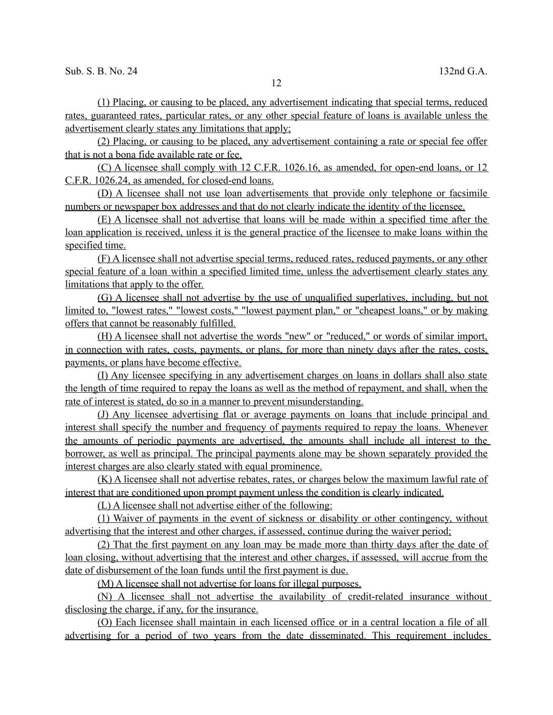(1) Placing, or causing to be placed, any advertisement indicating that special terms, reduced rates, guaranteed rates, particular rates, or any other special feature of loans is available unless the advertisement clearly states any limitations that apply;

 (2) Placing, or causing to be placed, any advertisement containing a rate or special fee offer that is not a bona fide available rate or fee.

 (C) A licensee shall comply with 12 C.F.R. 1026.16, as amended, for open-end loans, or 12 C.F.R. 1026.24, as amended, for closed-end loans.

 (D) A licensee shall not use loan advertisements that provide only telephone or facsimile numbers or newspaper box addresses and that do not clearly indicate the identity of the licensee.

 (E) A licensee shall not advertise that loans will be made within a specified time after the loan application is received, unless it is the general practice of the licensee to make loans within the specified time.

 (F) A licensee shall not advertise special terms, reduced rates, reduced payments, or any other special feature of a loan within a specified limited time, unless the advertisement clearly states any limitations that apply to the offer.

 (G) A licensee shall not advertise by the use of unqualified superlatives, including, but not limited to, "lowest rates," "lowest costs," "lowest payment plan," or "cheapest loans," or by making offers that cannot be reasonably fulfilled.

 (H) A licensee shall not advertise the words "new" or "reduced," or words of similar import, in connection with rates, costs, payments, or plans, for more than ninety days after the rates, costs, payments, or plans have become effective.

 (I) Any licensee specifying in any advertisement charges on loans in dollars shall also state the length of time required to repay the loans as well as the method of repayment, and shall, when the rate of interest is stated, do so in a manner to prevent misunderstanding.

 (J) Any licensee advertising flat or average payments on loans that include principal and interest shall specify the number and frequency of payments required to repay the loans. Whenever the amounts of periodic payments are advertised, the amounts shall include all interest to the borrower, as well as principal. The principal payments alone may be shown separately provided the interest charges are also clearly stated with equal prominence.

 (K) A licensee shall not advertise rebates, rates, or charges below the maximum lawful rate of interest that are conditioned upon prompt payment unless the condition is clearly indicated.

(L) A licensee shall not advertise either of the following:

(1) Waiver of payments in the event of sickness or disability or other contingency, without advertising that the interest and other charges, if assessed, continue during the waiver period;

 (2) That the first payment on any loan may be made more than thirty days after the date of loan closing, without advertising that the interest and other charges, if assessed, will accrue from the date of disbursement of the loan funds until the first payment is due.

(M) A licensee shall not advertise for loans for illegal purposes.

(N) A licensee shall not advertise the availability of credit-related insurance without disclosing the charge, if any, for the insurance.

 (O) Each licensee shall maintain in each licensed office or in a central location a file of all advertising for a period of two years from the date disseminated. This requirement includes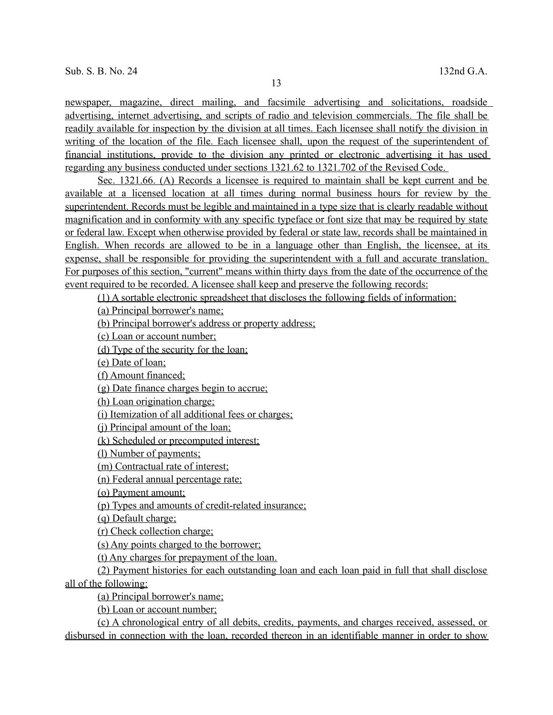newspaper, magazine, direct mailing, and facsimile advertising and solicitations, roadside advertising, internet advertising, and scripts of radio and television commercials. The file shall be readily available for inspection by the division at all times. Each licensee shall notify the division in writing of the location of the file. Each licensee shall, upon the request of the superintendent of financial institutions, provide to the division any printed or electronic advertising it has used regarding any business conducted under sections 1321.62 to 1321.702 of the Revised Code.

Sec. 1321.66. (A) Records a licensee is required to maintain shall be kept current and be available at a licensed location at all times during normal business hours for review by the superintendent. Records must be legible and maintained in a type size that is clearly readable without magnification and in conformity with any specific typeface or font size that may be required by state or federal law. Except when otherwise provided by federal or state law, records shall be maintained in English. When records are allowed to be in a language other than English, the licensee, at its expense, shall be responsible for providing the superintendent with a full and accurate translation. For purposes of this section, "current" means within thirty days from the date of the occurrence of the event required to be recorded. A licensee shall keep and preserve the following records:

(1) A sortable electronic spreadsheet that discloses the following fields of information:

(a) Principal borrower's name;

(b) Principal borrower's address or property address;

(c) Loan or account number;

(d) Type of the security for the loan;

(e) Date of loan;

(f) Amount financed;

(g) Date finance charges begin to accrue;

(h) Loan origination charge;

(i) Itemization of all additional fees or charges;

(j) Principal amount of the loan;

(k) Scheduled or precomputed interest;

(l) Number of payments;

(m) Contractual rate of interest;

(n) Federal annual percentage rate;

(o) Payment amount;

(p) Types and amounts of credit-related insurance;

(q) Default charge;

(r) Check collection charge;

(s) Any points charged to the borrower;

(t) Any charges for prepayment of the loan.

 (2) Payment histories for each outstanding loan and each loan paid in full that shall disclose all of the following:

(a) Principal borrower's name;

(b) Loan or account number;

 ( c) A chronological entry of all debits, credits, payments, and charges received, assessed, or disbursed in connection with the loan, recorded thereon in an identifiable manner in order to show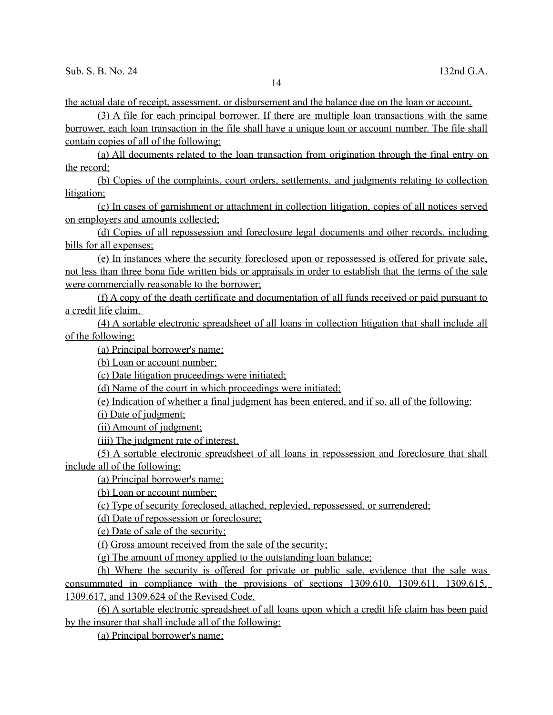the actual date of receipt, assessment, or disbursement and the balance due on the loan or account.

(3) A file for each principal borrower. If there are multiple loan transactions with the same

 borrower, each loan transaction in the file shall have a unique loan or account number. The file shall contain copies of all of the following:

 (a) All documents related to the loan transaction from origination through the final entry on the record;

 ( b) Copies of the complaints, court orders, settlements, and judgments relating to collection litigation;

 (c) In cases of garnishment or attachment in collection litigation, copies of all notices served on employers and amounts collected;

 ( d) Copies of all repossession and foreclosure legal documents and other records, including bills for all expenses;

 (e) In instances where the security foreclosed upon or repossessed is offered for private sale, not less than three bona fide written bids or appraisals in order to establish that the terms of the sale were commercially reasonable to the borrower;

 (f) A copy of the death certificate and documentation of all funds received or paid pursuant to a credit life claim.

 (4) A sortable electronic spreadsheet of all loans in collection litigation that shall include all of the following:

(a) Principal borrower's name;

(b) Loan or account number;

(c) Date litigation proceedings were initiated;

(d) Name of the court in which proceedings were initiated;

(e) Indication of whether a final judgment has been entered, and if so, all of the following:

(i) Date of judgment;

(ii) Amount of judgment;

(iii) The judgment rate of interest.

 (5) A sortable electronic spreadsheet of all loans in repossession and foreclosure that shall include all of the following:

(a) Principal borrower's name;

(b) Loan or account number;

(c) Type of security foreclosed, attached, replevied, repossessed, or surrendered;

(d) Date of repossession or foreclosure;

(e) Date of sale of the security;

(f) Gross amount received from the sale of the security;

(g) The amount of money applied to the outstanding loan balance;

(h) Where the security is offered for private or public sale, evidence that the sale was consummated in compliance with the provisions of sections 1309.610, 1309.611, 1309.615, 1309.617, and 1309.624 of the Revised Code.

 (6) A sortable electronic spreadsheet of all loans upon w hich a credit life claim has been paid by the insurer that shall include all of the following:

(a) Principal borrower's name;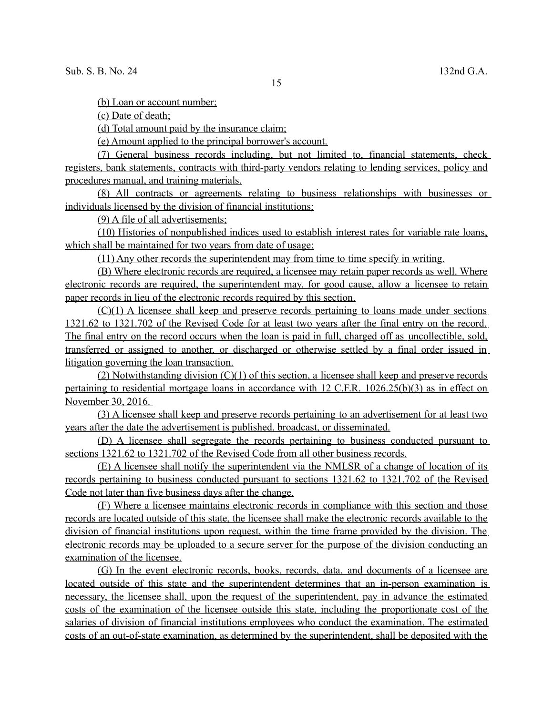(b) Loan or account number;

(c) Date of death;

(d) Total amount paid by the insurance claim;

(e) Amount applied to the principal borrower's account.

 (7) General business records including, but not limited to, financial statements, check registers, bank statements, contracts with third-party vendors relating to lending services, policy and procedures manual, and training materials.

 (8) All contracts or agreements relating to business relationships with businesses or individuals licensed by the division of financial institutions;

(9) A file of all advertisements;

 (10) Histories of nonpublished indices used to establish interest rates for variable rate loans, which shall be maintained for two years from date of usage;

(11) Any other records the superintendent may from time to time specify in writing.

(B) Where electronic records are required, a licensee may retain paper records as well. Where electronic records are required, the superintendent may, for good cause, allow a licensee to retain paper records in lieu of the electronic records required by this section.

(C)(1) A licensee shall keep and preserve records pertaining to loans made under sections 1321.62 to 1321.702 of the Revised Code for at least two years after the final entry on the record. The final entry on the record occurs when the loan is paid in full, charged off as uncollectible , sold, transferred or assigned to another, or discharged or otherwise settled by a final order issued in litigation governing the loan transaction.

(2) Notwithstanding division  $(C)(1)$  of this section, a licensee shall keep and preserve records pertaining to residential mortgage loans in accordance with 12 C.F.R. 1026.25(b)(3) as in effect on November 30, 2016.

 (3) A licensee shall keep and preserve records pertaining to an advertisement for at least two years after the date the advertisement is published, broadcast, or disseminated.

 (D) A licensee shall segregate the records pertaining to business conducted pursuant to sections 1321.62 to 1321.702 of the Revised Code from all other business records.

 (E) A licensee shall notify the superintendent via the NMLSR of a change of location of its records pertaining to business conducted pursuant to sections 1321.62 to 1321.702 of the Revised Code not later than five business days after the change.

 (F) Where a licensee maintains electronic records in compliance with this section and those records are located outside of this state, the licensee shall make the electronic records available to the division of financial institutions upon request, within the time frame provided by the division. The electronic records may be uploaded to a secure server for the purpose of the division conducting an examination of the licensee.

(G) In the event electronic records, books, records, data, and documents of a licensee are located outside of this state and the superintendent determines that an in-person examination is necessary, the licensee shall, upon the request of the superintendent, pay in advance the estimated costs of the examination of the licensee outside this state, including the proportionate cost of the salaries of division of financial institutions employees who conduct the examination. The estimated costs of an out-of-state examination, as determined by the superintendent, shall be deposited with the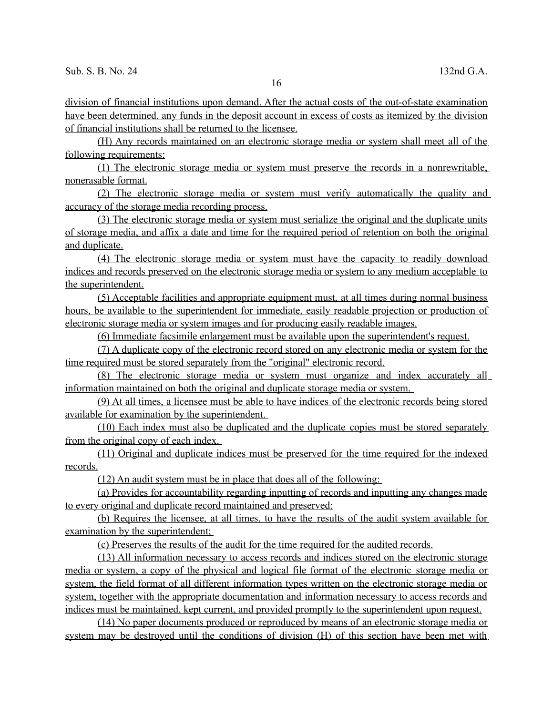16

 division of financial institutions upon demand. After the actual costs of the out-of-state examination have been determined, any funds in the deposit account in excess of costs as itemized by the division of financial institutions shall be returned to the licensee.

 (H) Any records maintained on an electronic storage media or system shall meet all of the following requirements:

 (1) The electronic storage media or system must preserve the records in a nonrewritable, nonerasable format.

 (2) The electronic storage media or system must verify automatically the quality and accuracy of the storage media recording process.

 (3) The electronic storage media or system must serialize the original and the duplicate units of storage media, and affix a date and time for the required period of retention on both the original and duplicate.

 (4) The electronic storage media or system must have the capacity to readily download indices and records preserved on the electronic storage media or system to any medium acceptable to the superintendent.

 ( 5) Acceptable facilities and appropriate equipment must, at all times during normal business hours, be available to the superintendent for immediate, easily readable projection or production of electronic storage media or system images and for producing easily readable images.

(6) Immediate facsimile enlargement must be available upon the superintendent's request.

(7) A duplicate copy of the electronic record stored on any electronic media or system for the time required must be stored separately from the "original" electronic record.

 (8) The electronic storage media or system must organize and index accurately all information maintained on both the original and duplicate storage media or system.

 (9) At all times, a licensee must be able to have indices of the electronic records being stored available for examination by the superintendent.

 (10) Each index must also be duplicated and the duplicate copies must be stored separately from the original copy of each index.

 (11) Original and duplicate indices must be preserved for the time required for the indexed records.

(12) An audit system must be in place that does all of the following:

(a) Provides for accountability regarding inputting of records and inputting any changes made to every original and duplicate record maintained and preserved;

 (b) Requires the licensee, at all times, to have the results of the audit system available for examination by the superintendent:

(c) Preserves the results of the audit for the time required for the audited records.

(13) All information necessary to access records and indices stored on the electronic storage media or system, a copy of the physical and logical file format of the electronic storage media or system, the field format of all different information types written on the electronic storage media or system, together with the appropriate documentation and information necessary to access records and indices must be maintained, kept current, and provided promptly to the superintendent upon request.

 (14) No paper documents produced or reproduced by means of an electronic storage media or system may be destroyed until the conditions of division (H) of this section have been met with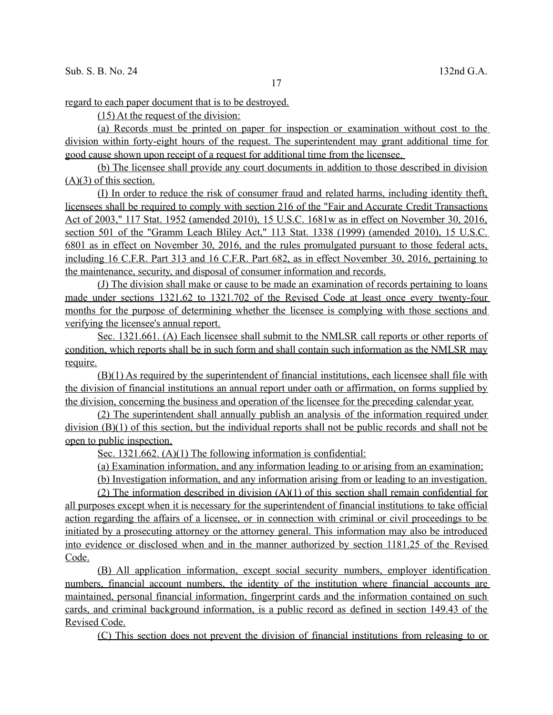regard to each paper document that is to be destroyed.

(15) At the request of the division:

 (a) Records must be printed on paper for inspection or examination without cost to the division within forty-eight hours of the request. The superintendent may grant additional time for good cause shown upon receipt of a request for additional time from the licensee.

 (b) The licensee shall provide any court documents in addition to those described in division  $(A)(3)$  of this section.

 (I) In order to reduce the risk of consumer fraud and related harms, including identity theft, licensees shall be required to comply with section 216 of the "Fair and Accurate Credit Transactions Act of 2003," 117 Stat. 1952 (amended 2010), 15 U.S.C. 1681w as in effect on November 30, 2016, section 501 of the "Gramm Leach Bliley Act," 113 Stat. 1338 (1999) (amended 2010), 15 U.S.C. 6801 as in effect on November 30, 2016, and the rules promulgated pursuant to those federal acts, including 16 C.F.R. Part 313 and 16 C.F.R. Part 682, as in effect November 30, 2016, pertaining to the maintenance, security, and disposal of consumer information and records.

 (J) The division shall make or cause to be made an examination of records pertaining to loans made under sections 1321.62 to 1321.702 of the Revised Code at least once every twenty-four months for the purpose of determining whether the licensee is complying with those sections and verifying the licensee's annual report.

 Sec. 1321.661. (A) Each licensee shall submit to the NMLSR call reports or other reports of condition, which reports shall be in such form and shall contain such information as the NMLSR may require.

 (B)(1) As required by the superintendent of financial institutions, each licensee shall file with the division of financial institutions an annual report under oath or affirmation, on forms supplied by the division, concerning the business and operation of the licensee for the preceding calendar year.

 (2) The superintendent shall annually publish an analysis of the information required under division (B)(1) of this section, but the individual reports shall not be public records and shall not be open to public inspection.

Sec. 1321.662. (A)(1) The following information is confidential:

(a) Examination information, and any information leading to or arising from an examination;

(b) Investigation information, and any information arising from or leading to an investigation.

(2) The information described in division  $(A)(1)$  of this section shall remain confidential for all purposes except when it is necessary for the superintendent of financial institutions to take official action regarding the affairs of a licensee, or in connection with criminal or civil proceedings to be initiated by a prosecuting attorney or the attorney general. This information may also be introduced into evidence or disclosed when and in the manner authorized by section 1181.25 of the Revised Code.

 (B) All application information, except social security numbers, employer identification numbers, financial account numbers, the identity of the institution where financial accounts are maintained, personal financial information, fingerprint cards and the information contained on such cards, and criminal background information, is a public record as defined in section 149.43 of the Revised Code.

(C) This section does not prevent the division of financial institutions from releasing to or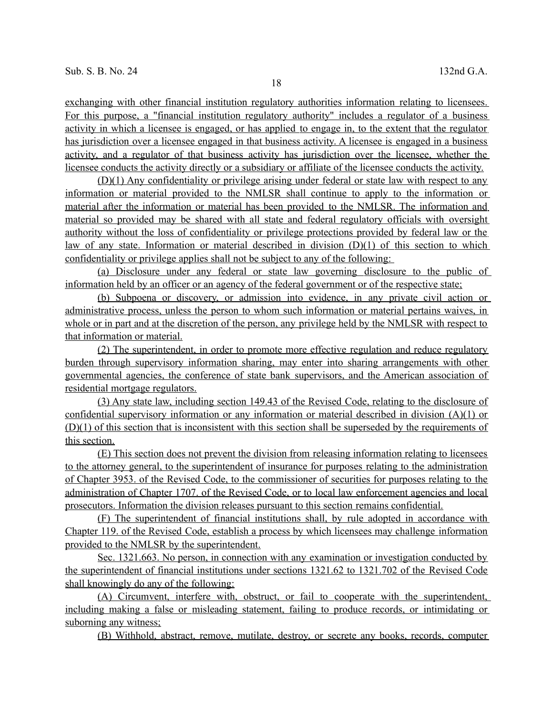exchanging with other financial institution regulatory authorities information relating to licensees. For this purpose, a "financial institution regulatory authority" includes a regulator of a business activity in which a licensee is engaged, or has applied to engage in, to the extent that the regulator has jurisdiction over a licensee engaged in that business activity. A licensee is engaged in a business activity, and a regulator of that business activity has jurisdiction over the licensee, whether the licensee conducts the activity directly or a subsidiary or affiliate of the licensee conducts the activity.

 (D)(1) Any confidentiality or privilege arising under federal or state law with respect to any information or material provided to the NMLSR shall continue to apply to the information or material after the information or material has been provided to the NMLSR. The information and material so provided may be shared with all state and federal regulatory officials with oversight authority without the loss of confidentiality or privilege protections provided by federal law or the law of any state. Information or material described in division  $(D)(1)$  of this section to which confidentiality or privilege applies shall not be subject to any of the following:

 (a) Disclosure under any federal or state law governing disclosure to the public of information held by an officer or an agency of the federal government or of the respective state;

 (b) Subpoena or discovery, or admission into evidence, in any private civil action or administrative process, unless the person to whom such information or material pertains waives, in whole or in part and at the discretion of the person, any privilege held by the NMLSR with respect to that information or material.

 (2) The superintendent, in order to promote more effective regulation and reduce regulatory burden through supervisory information sharing, may enter into sharing arrangements with other governmental agencies, the conference of state bank supervisors, and the American association of residential mortgage regulators.

 (3) Any state law, including section 149.43 of the Revised Code, relating to the disclosure of confidential supervisory information or any information or material described in division (A)(1) or (D)(1) of this section that is inconsistent with this section shall be superseded by the requirements of this section.

 (E) This section does not prevent the division from releasing information relating to licensees to the attorney general, to the superintendent of insurance for purposes relating to the administration of Chapter 3953. of the Revised Code, to the commissioner of securities for purposes relating to the administration of Chapter 1707. of the Revised Code, or to local law enforcement agencies and local prosecutors. Information the division releases pursuant to this section remains confidential.

 (F) The superintendent of financial institutions shall, by rule adopted in accordance with Chapter 119. of the Revised Code, establish a process by which licensees may challenge information provided to the NMLSR by the superintendent.

 Sec. 1321.663. No person, in connection with any examination or investigation conducted by the superintendent of financial institutions under sections 1321.62 to 1321.702 of the Revised Code shall knowingly do any of the following:

 (A) Circumvent, interfere with, obstruct, or fail to cooperate with the superintendent, including making a false or misleading statement, failing to produce records, or intimidating or suborning any witness;

(B) Withhold, abstract, remove, mutilate, destroy, or secrete any books, records, computer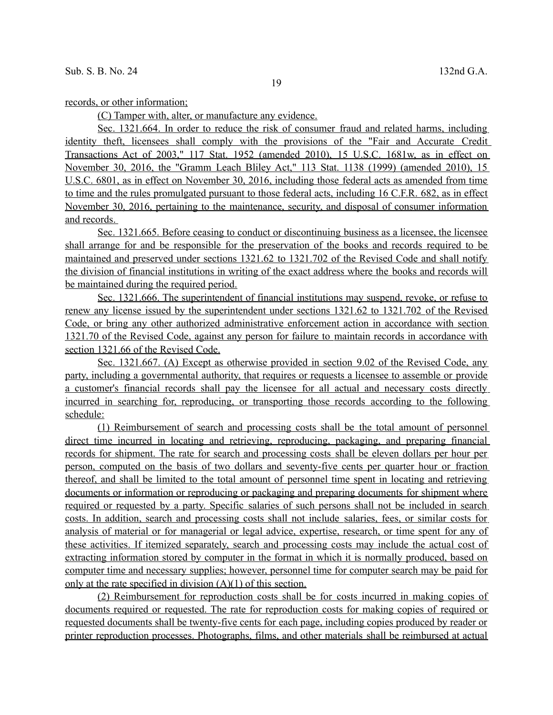records, or other information;

(C) Tamper with, alter, or manufacture any evidence.

 Sec. 1321.664. In order to reduce the risk of consumer fraud and related harms, including identity theft, licensees shall comply with the provisions of the "Fair and Accurate Credit Transactions Act of 2003," 117 Stat. 1952 (amended 2010), 15 U.S.C. 1681w, as in effect on November 30, 2016, the "Gramm Leach Bliley Act," 113 Stat. 1138 (1999) (amended 2010), 15 U.S.C. 6801, as in effect on November 30, 2016, including those federal acts as amended from time to time and the rules promulgated pursuant to those federal acts, including 16 C.F.R. 682, as in effect November 30, 2016, pertaining to the maintenance, security, and disposal of consumer information and records.

Sec. 1321.665. Before ceasing to conduct or discontinuing business as a licensee, the licensee shall arrange for and be responsible for the preservation of the books and records required to be maintained and preserved under sections 1321.62 to 1321.702 of the Revised Code and shall notify the division of financial institutions in writing of the exact address where the books and records will be maintained during the required period.

 Sec. 1321.666. The superintendent of financial institutions may suspend, revoke, or refuse to renew any license issued by the superintendent under sections 1321.62 to 1321.702 of the Revised Code, or bring any other authorized administrative enforcement action in accordance with section 1321.70 of the Revised Code, against any person for failure to maintain records in accordance with section 1321.66 of the Revised Code.

Sec. 1321.667. (A) Except as otherwise provided in section 9.02 of the Revised Code, any party, including a governmental authority, that requires or requests a licensee to assemble or provide a customer's financial records shall pay the licensee for all actual and necessary costs directly incurred in searching for, reproducing, or transporting those records according to the following schedule:

 (1) Reimbursement of search and processing costs shall be the total amount of personnel direct time incurred in locating and retrieving, reproducing, packaging, and preparing financial records for shipment. The rate for search and processing costs shall be eleven dollars per hour per person, computed on the basis of two dollars and seventy-five cents per quarter hour or fraction thereof, and shall be limited to the total amount of personnel time spent in locating and retrieving documents or information or reproducing or packaging and preparing documents for shipment where required or requested by a party. Specific salaries of such persons shall not be included in search costs. In addition, search and processing costs shall not include salaries, fees, or similar costs for analysis of material or for managerial or legal advice, expertise, research, or time spent for any of these activities. If itemized separately, search and processing costs may include the actual cost of extracting information stored by computer in the format in which it is normally produced, based on computer time and necessary supplies; however, personnel time for computer search may be paid for only at the rate specified in division (A)(1) of this section.

 (2) Reimbursement for reproduction costs shall be for costs incurred in making copies of documents required or requested. The rate for reproduction costs for making copies of required or requested documents shall be twenty-five cents for each page, including copies produced by reader or printer reproduction processes. Photographs, films, and other materials shall be reimbursed at actual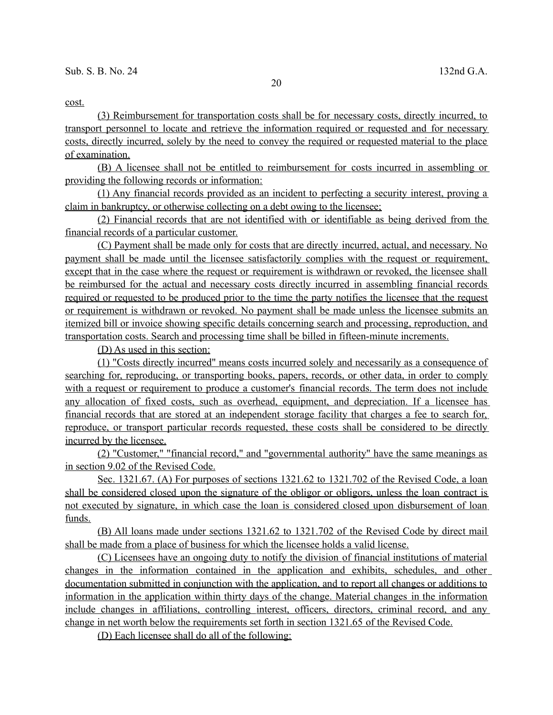cost.

 (3) Reimbursement for transportation costs shall be for necessary costs, directly incurred, to transport personnel to locate and retrieve the information required or requested and for necessary costs, directly incurred, solely by the need to convey the required or requested material to the place of examination.

 (B) A licensee shall not be entitled to reimbursement for costs incurred in assembling or providing the following records or information:

 (1) Any financial records provided as an incident to perfecting a security interest, proving a claim in bankruptcy, or otherwise collecting on a debt owing to the licensee;

 (2) Financial records that are not identified with or identifiable as being derived from the financial records of a particular customer.

 (C) Payment shall be made only for costs that are directly incurred, actual, and necessary. No payment shall be made until the licensee satisfactorily complies with the request or requirement, except that in the case where the request or requirement is withdrawn or revoked, the licensee shall be reimbursed for the actual and necessary costs directly incurred in assembling financial records required or requested to be produced prior to the time the party notifies the licensee that the request or requirement is withdrawn or revoked. No payment shall be made unless the licensee submits an itemized bill or invoice showing specific details concerning search and processing, reproduction, and transportation costs. Search and processing time shall be billed in fifteen-minute increments.

(D) As used in this section:

 (1) "Costs directly incurred" means costs incurred solely and necessarily as a consequence of searching for, reproducing, or transporting books, papers, records, or other data, in order to comply with a request or requirement to produce a customer's financial records. The term does not include any allocation of fixed costs, such as overhead, equipment, and depreciation. If a licensee has financial records that are stored at an independent storage facility that charges a fee to search for, reproduce, or transport particular records requested, these costs shall be considered to be directly incurred by the licensee.

 (2) "Customer," "financial record," and "governmental authority" have the same meanings as in section 9.02 of the Revised Code.

 Sec. 1321.67. (A) For purposes of sections 1321.62 to 1321.702 of the Revised Code, a loan shall be considered closed upon the signature of the obligor or obligors, unless the loan contract is not executed by signature, in which case the loan is considered closed upon disbursement of loan funds.

 (B) All loans made under sections 1321.62 to 1321.702 of the Revised Code by direct mail shall be made from a place of business for which the licensee holds a valid license.

 (C) Licensees have an ongoing duty to notify the division of financial institutions of material changes in the information contained in the application and exhibits, schedules, and other documentation submitted in conjunction with the application, and to report all changes or additions to information in the application within thirty days of the change. Material changes in the information include changes in affiliations, controlling interest, officers, directors, criminal record, and any change in net worth below the requirements set forth in section 1321.65 of the Revised Code.

(D) Each licensee shall do all of the following: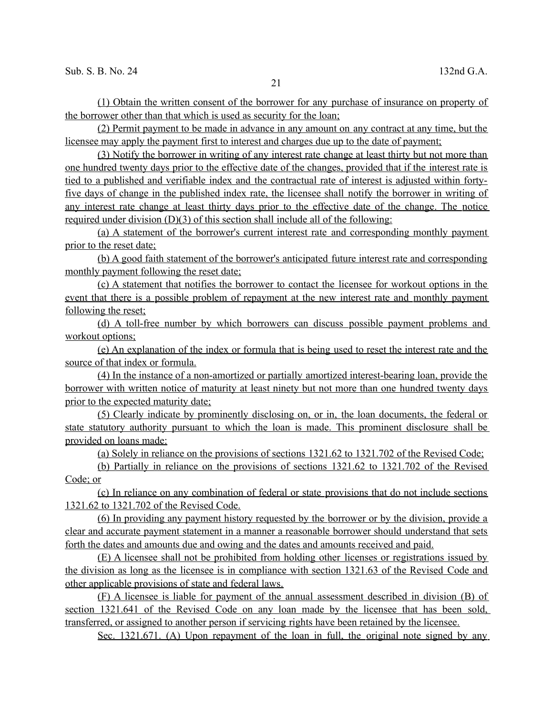(1) Obtain the written consent of the borrower for any purchase of insurance on property of the borrower other than that which is used as security for the loan;

 (2) Permit payment to be made in advance in any amount on any contract at any time, but the licensee may apply the payment first to interest and charges due up to the date of payment;

 (3) Notify the borrower in writing of any interest rate change at least thirty but not more than one hundred twenty days prior to the effective date of the changes, provided that if the interest rate is tied to a published and verifiable index and the contractual rate of interest is adjusted within forty five days of change in the published index rate, the licensee shall notify the borrower in writing of any interest rate change at least thirty days prior to the effective date of the change. The notice required under division  $(D)(3)$  of this section shall include all of the following:

 (a) A statement of the borrower's current interest rate and corresponding monthly payment prior to the reset date;

 (b) A good faith statement of the borrower's anticipated future interest rate and corresponding monthly payment following the reset date;

 (c) A statement that notifies the borrower to contact the licensee for workout options in the event that there is a possible problem of repayment at the new interest rate and monthly payment following the reset;

 (d) A toll-free number by which borrowers can discuss possible payment problems and workout options;

 (e) An explanation of the index or formula that is being used to reset the interest rate and the source of that index or formula.

 (4) In the instance of a non-amortized or partially amortized interest-bearing loan, provide the borrower with written notice of maturity at least ninety but not more than one hundred twenty days prior to the expected maturity date;

 (5) Clearly indicate by prominently disclosing on, or in, the loan documents, the federal or state statutory authority pursuant to which the loan is made. This prominent disclosure shall be provided on loans made:

(a) Solely in reliance on the provisions of sections 1321.62 to 1321.702 of the Revised Code;

(b) Partially in reliance on the provisions of sections 1321.62 to 1321.702 of the Revised Code; or

 (c) In reliance on any combination of federal or state provisions that do not include sections 1321.62 to 1321.702 of the Revised Code.

 (6) In providing any payment history requested by the borrower or by the division, provide a clear and accurate payment statement in a manner a reasonable borrower should understand that sets forth the dates and amounts due and owing and the dates and amounts received and paid.

 (E) A licensee shall not be prohibited from holding other licenses or registrations issued by the division as long as the licensee is in compliance with section 1321.63 of the Revised Code and other applicable provisions of state and federal laws.

 (F) A licensee is liable for payment of the annual assessment described in division (B) of section 1321.641 of the Revised Code on any loan made by the licensee that has been sold, transferred, or assigned to another person if servicing rights have been retained by the licensee.

Sec. 1321.671. (A) Upon repayment of the loan in full, the original note signed by any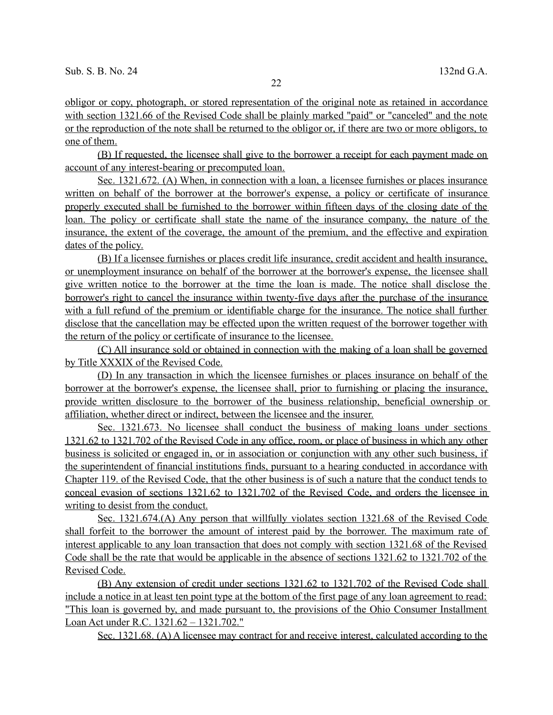obligor or copy, photograph, or stored representation of the original note as retained in accordance with section 1321.66 of the Revised Code shall be plainly marked "paid" or "canceled" and the note or the reproduction of the note shall be returned to the obligor or, if there are two or more obligors, to one of them.

 (B) If requested, the licensee shall give to the borrower a receipt for each payment made on account of any interest- bearing or precomputed loan.

 Sec. 1321.672. (A) When, in connection with a loan, a licensee furnishes or places insurance written on behalf of the borrower at the borrower's expense, a policy or certificate of insurance properly executed shall be furnished to the borrower within fifteen days of the closing date of the loan. The policy or certificate shall state the name of the insurance company, the nature of the insurance, the extent of the coverage, the amount of the premium, and the effective and expiration dates of the policy.

 (B) If a licensee furnishes or places credit life insurance, credit accident and health insurance, or unemployment insurance on behalf of the borrower at the borrower's expense, the licensee shall give written notice to the borrower at the time the loan is made. The notice shall disclose the borrower's right to cancel the insurance within twenty-five days after the purchase of the insurance with a full refund of the premium or identifiable charge for the insurance. The notice shall further disclose that the cancellation may be effected upon the written request of the borrower together with the return of the policy or certificate of insurance to the licensee.

 (C) All insurance sold or obtained in connection with the making of a loan shall be governed by Title XXXIX of the Revised Code.

 (D) In any transaction in which the licensee furnishes or places insurance on behalf of the borrower at the borrower's expense, the licensee shall, prior to furnishing or placing the insurance, provide written disclosure to the borrower of the business relationship, beneficial ownership or affiliation, whether direct or indirect, between the licensee and the insurer.

 Sec. 1321.673. No licensee shall conduct the business of making loans under sections 1321.62 to 1321.702 of the Revised Code in any office, room, or place of business in which any other business is solicited or engaged in, or in association or conjunction with any other such business, if the superintendent of financial institutions finds, pursuant to a hearing conducted in accordance with Chapter 119. of the Revised Code, that the other business is of such a nature that the conduct tends to conceal evasion of sections 1321.62 to 1321.702 of the Revised Code, and orders the licensee in writing to desist from the conduct.

Sec. 1321.674. (A) Any person that willfully violates section 1321.68 of the Revised Code shall forfeit to the borrower the amount of interest paid by the borrower. The maximum rate of interest applicable to any loan transaction that does not comply with section 1321.68 of the Revised Code shall be the rate that would be applicable in the absence of sections 1321.62 to 1321.702 of the Revised Code.

 ( B) Any extension of credit under sections 1321.62 to 1321.702 of the Revised Code shall include a notice in at least ten point type at the bottom of the first page of any loan agreement to read: "This loan is governed by, and made pursuant to, the provisions of the Ohio Consumer Installment Loan Act under R.C. 1321.62 – 1321.702."

Sec. 1321.68. (A) A licensee may contract for and receive interest, calculated according to the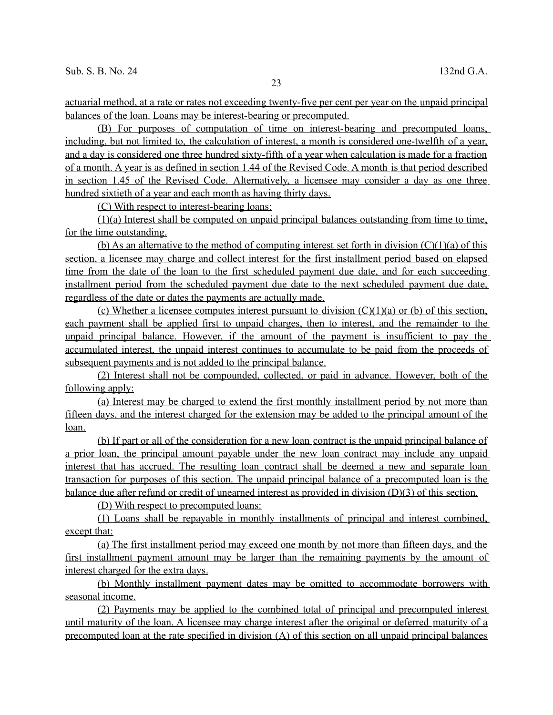actuarial method, at a rate or rates not exceeding twenty-five per cent per year on the unpaid principal balances of the loan. Loans may be interest- bearing or precomputed.

 (B) For purposes of computation of time on interest- bearing and precomputed loans, including, but not limited to, the calculation of interest, a month is considered one-twelfth of a year, and a day is considered one three hundred sixty-fifth of a year when calculation is made for a fraction of a month. A year is as defined in section 1.44 of the Revised Code. A month is that period described in section 1.45 of the Revised Code. Alternatively, a licensee may consider a day as one three hundred sixtieth of a year and each month as having thirty days.

(C) With respect to interest-bearing loans:

 (1)(a) Interest shall be computed on unpaid principal balances outstanding from time to time, for the time outstanding.

(b) As an alternative to the method of computing interest set forth in division  $(C)(1)(a)$  of this section, a licensee may charge and collect interest for the first installment period based on elapsed time from the date of the loan to the first scheduled payment due date, and for each succeeding installment period from the scheduled payment due date to the next scheduled payment due date, regardless of the date or dates the payments are actually made.

(c) Whether a licensee computes interest pursuant to division  $(C)(1)(a)$  or (b) of this section, each payment shall be applied first to unpaid charges, then to interest, and the remainder to the unpaid principal balance. However, if the amount of the payment is insufficient to pay the accumulated interest, the unpaid interest continues to accumulate to be paid from the proceeds of subsequent payments and is not added to the principal balance.

 (2) Interest shall not be compounded, collected, or paid in advance. However, both of the following apply:

 (a) Interest may be charged to extend the first monthly installment period by not more than fifteen days, and the interest charged for the extension may be added to the principal amount of the loan.

 (b) If part or all of the consideration for a new loan contract is the unpaid principal balance of a prior loan, the principal amount payable under the new loan contract may include any unpaid interest that has accrued. The resulting loan contract shall be deemed a new and separate loan transaction for purposes of this section. The unpaid principal balance of a precomputed loan is the balance due after refund or credit of unearned interest as provided in division (D)(3) of this section.

(D) With respect to precomputed loans:

 (1) Loans shall be repayable in monthly installments of principal and interest combined, except that:

 (a) The first installment period may exceed one month by not more than fifteen days, and the first installment payment amount may be larger than the remaining payments by the amount of interest charged for the extra days.

 (b) Monthly installment payment dates may be omitted to accommodate borrowers with seasonal income.

 (2) Payments may be applied to the combined total of principal and precomputed interest until maturity of the loan. A licensee may charge interest after the original or deferred maturity of a precomputed loan at the rate specified in division (A) of this section on all unpaid principal balances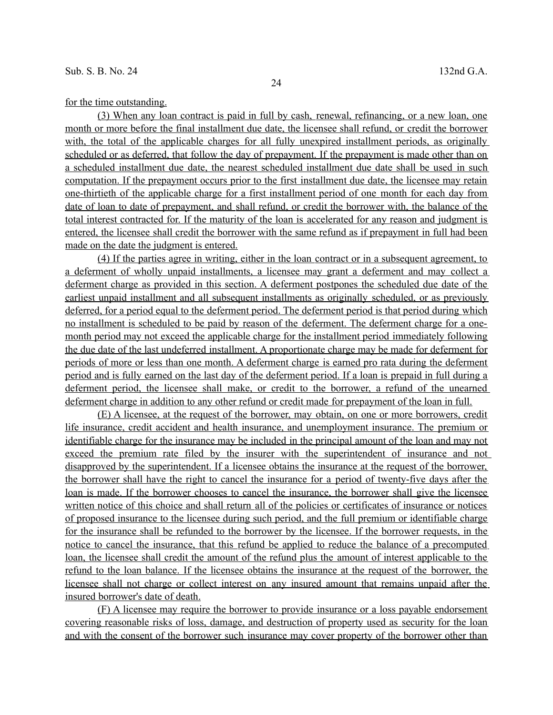for the time outstanding.

 (3) When any loan contract is paid in full by cash, renewal, refinancing, or a new loan, one month or more before the final installment due date, the licensee shall refund, or credit the borrower with, the total of the applicable charges for all fully unexpired installment periods, as originally scheduled or as deferred, that follow the day of prepayment. If the prepayment is made other than on a scheduled installment due date, the nearest scheduled installment due date shall be used in such computation. If the prepayment occurs prior to the first installment due date, the licensee may retain one-thirtieth of the applicable charge for a first installment period of one month for each day from date of loan to date of prepayment, and shall refund, or credit the borrower with, the balance of the total interest contracted for. If the maturity of the loan is accelerated for any reason and judgment is entered, the licensee shall credit the borrower with the same refund as if prepayment in full had been made on the date the judgment is entered.

 (4) If the parties agree in writing, either in the loan contract or in a subsequent agreement, to a deferment of wholly unpaid installments, a licensee may grant a deferment and may collect a deferment charge as provided in this section. A deferment postpones the scheduled due date of the earliest unpaid installment and all subsequent installments as originally scheduled, or as previously deferred, for a period equal to the deferment period. The deferment period is that period during which no installment is scheduled to be paid by reason of the deferment. The deferment charge for a one month period may not exceed the applicable charge for the installment period immediately following the due date of the last undeferred installment. A proportionate charge may be made for deferment for periods of more or less than one month. A deferment charge is earned pro rata during the deferment period and is fully earned on the last day of the deferment period. If a loan is prepaid in full during a deferment period, the licensee shall make, or credit to the borrower, a refund of the unearned deferment charge in addition to any other refund or credit made for prepayment of the loan in full.

 (E) A licensee, at the request of the borrower, may obtain, on one or more borrowers, credit life insurance, credit accident and health insurance, and unemployment insurance. The premium or identifiable charge for the insurance may be included in the principal amount of the loan and may not exceed the premium rate filed by the insurer with the superintendent of insurance and not disapproved by the superintendent. If a licensee obtains the insurance at the request of the borrower, the borrower shall have the right to cancel the insurance for a period of twenty-five days after the loan is made. If the borrower chooses to cancel the insurance, the borrower shall give the licensee written notice of this choice and shall return all of the policies or certificates of insurance or notices of proposed insurance to the licensee during such period, and the full premium or identifiable charge for the insurance shall be refunded to the borrower by the licensee. If the borrower requests, in the notice to cancel the insurance, that this refund be applied to reduce the balance of a precomputed loan, the licensee shall credit the amount of the refund plus the amount of interest applicable to the refund to the loan balance. If the licensee obtains the insurance at the request of the borrower, the licensee shall not charge or collect interest on any insured amount that remains unpaid after the insured borrower's date of death.

 (F) A licensee may require the borrower to provide insurance or a loss payable endorsement covering reasonable risks of loss, damage, and destruction of property used as security for the loan and with the consent of the borrower such insurance may cover property of the borrower other than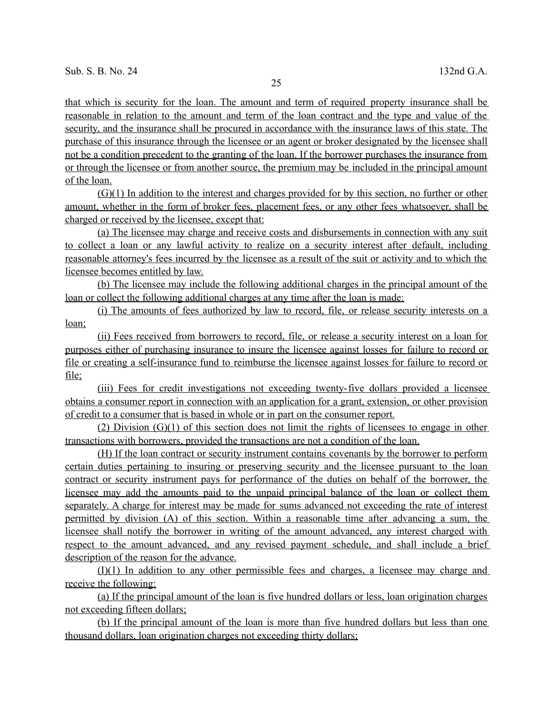that which is security for the loan. The amount and term of required property insurance shall be reasonable in relation to the amount and term of the loan contract and the type and value of the security, and the insurance shall be procured in accordance with the insurance laws of this state. The purchase of this insurance through the licensee or an agent or broker designated by the licensee shall not be a condition precedent to the granting of the loan. If the borrower purchases the insurance from or through the licensee or from another source, the premium may be included in the principal amount of the loan.

 $(G)(1)$  In addition to the interest and charges provided for by this section, no further or other amount, whether in the form of broker fees, placement fees, or any other fees whatsoever, shall be charged or received by the licensee, except that:

 (a) The licensee may charge and receive costs and disbursements in connection with any suit to collect a loan or any lawful activity to realize on a security interest after default, including reasonable attorney's fees incurred by the licensee as a result of the suit or activity and to which the licensee becomes entitled by law.

 (b) The licensee may include the following additional charges in the principal amount of the loan or collect the following additional charges at any time after the loan is made:

 (i) The amounts of fees authorized by law to record, file, or release security interests on a loan;

 (ii) Fees received from borrowers to record, file, or release a security interest on a loan for purposes either of purchasing insurance to insure the licensee against losses for failure to record or file or creating a self-insurance fund to reimburse the licensee against losses for failure to record or file;

 (iii) Fees for credit investigations not exceeding twenty- five dollars provided a licensee obtains a consumer report in connection with an application for a grant, extension, or other provision of credit to a consumer that is based in whole or in part on the consumer report.

(2) Division  $(G)(1)$  of this section does not limit the rights of licensees to engage in other transactions with borrowers, provided the transactions are not a condition of the loan.

 (H) If the loan contract or security instrument contains covenants by the borrower to perform certain duties pertaining to insuring or preserving security and the licensee pursuant to the loan contract or security instrument pays for performance of the duties on behalf of the borrower, the licensee may add the amounts paid to the unpaid principal balance of the loan or collect them separately. A charge for interest may be made for sums advanced not exceeding the rate of interest permitted by division (A) of this section. Within a reasonable time after advancing a sum, the licensee shall notify the borrower in writing of the amount advanced, any interest charged with respect to the amount advanced, and any revised payment schedule, and shall include a brief description of the reason for the advance.

 (I)(1) In addition to any other permissible fees and charges, a licensee may charge and receive the following:

 (a) If the principal amount of the loan is five hundred dollars or less, loan origination charges not exceeding fifteen dollars;

 (b) If the principal amount of the loan is more than five hundred dollars but less than one thousand dollars, loan origination charges not exceeding thirty dollars;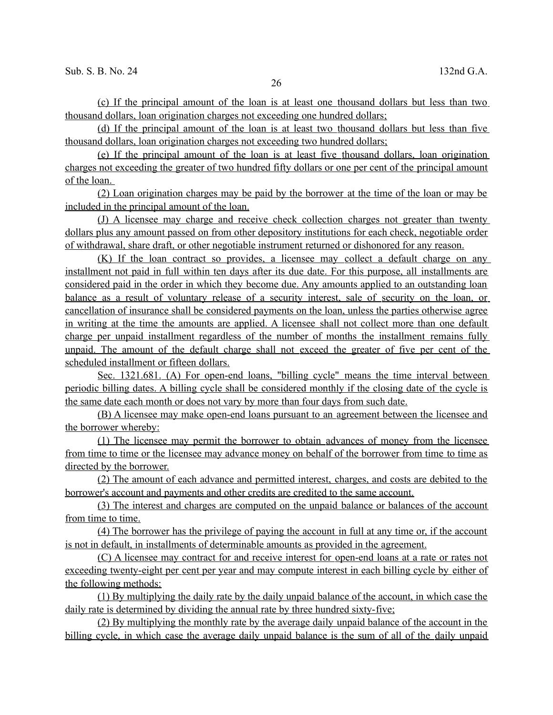(c) If the principal amount of the loan is at least one thousand dollars but less than two thousand dollars, loan origination charges not exceeding one hundred dollars;

 (d) If the principal amount of the loan is at least two thousand dollars but less than five thousand dollars, loan origination charges not exceeding two hundred dollars;

 (e) If the principal amount of the loan is at least five thousand dollars, loan origination charges not exceeding the greater of two hundred fifty dollars or one per cent of the principal amount of the loan.

 (2) Loan origination charges may be paid by the borrower at the time of the loan or may be included in the principal amount of the loan.

 (J) A licensee may charge and receive check collection charges not greater than twenty dollars plus any amount passed on from other depository institutions for each check, negotiable order of withdrawal, share draft, or other negotiable instrument returned or dishonored for any reason.

 (K) If the loan contract so provides, a licensee may collect a default charge on any installment not paid in full within ten days after its due date. For this purpose, all installments are considered paid in the order in which they become due. Any amounts applied to an outstanding loan balance as a result of voluntary release of a security interest, sale of security on the loan, or cancellation of insurance shall be considered payments on the loan, unless the parties otherwise agree in writing at the time the amounts are applied. A licensee shall not collect more than one default charge per unpaid installment regardless of the number of months the installment remains fully unpaid. The amount of the default charge shall not exceed the greater of five per cent of the scheduled installment or fifteen dollars.

 Sec. 1321.681. (A) For open-end loans, "billing cycle" means the time interval between periodic billing dates. A billing cycle shall be considered monthly if the closing date of the cycle is the same date each month or does not vary by more than four days from such date.

 (B) A licensee may make open-end loans pursuant to an agreement between the licensee and the borrower whereby:

 (1) The licensee may permit the borrower to obtain advances of money from the licensee from time to time or the licensee may advance money on behalf of the borrower from time to time as directed by the borrower.

 (2) The amount of each advance and permitted interest, charges, and costs are debited to the borrower's account and payments and other credits are credited to the same account.

 (3) The interest and charges are computed on the unpaid balance or balances of the account from time to time.

 (4) The borrower has the privilege of paying the account in full at any time or, if the account is not in default, in installments of determinable amounts as provided in the agreement.

 (C) A licensee may contract for and receive interest for open-end loans at a rate or rates not exceeding twenty-eight per cent per year and may compute interest in each billing cycle by either of the following methods:

 (1) By multiplying the daily rate by the daily unpaid balance of the account, in which case the daily rate is determined by dividing the annual rate by three hundred sixty- five;

 (2) By multiplying the monthly rate by the average daily unpaid balance of the account in the billing cycle, in which case the average daily unpaid balance is the sum of all of the daily unpaid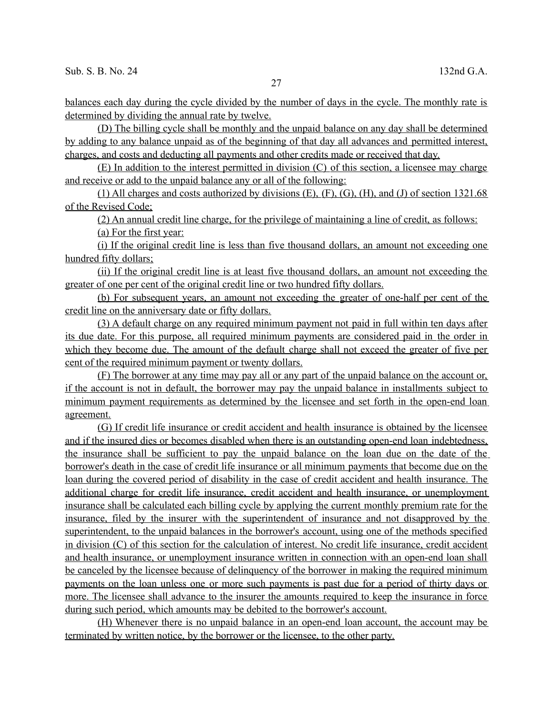balances each day during the cycle divided by the number of days in the cycle. The monthly rate is determined by dividing the annual rate by twelve.

 (D) The billing cycle shall be monthly and the unpaid balance on any day shall be determined by adding to any balance unpaid as of the beginning of that day all advances and permitted interest, charges, and costs and deducting all payments and other credits made or received that day.

 (E) In addition to the interest permitted in division (C) of this section, a licensee may charge and receive or add to the unpaid balance any or all of the following:

(1) All charges and costs authorized by divisions  $(E)$ ,  $(F)$ ,  $(G)$ ,  $(H)$ , and  $(J)$  of section 1321.68 of the Revised Code;

 (2) An annual credit line charge, for the privilege of maintaining a line of credit, as follows: (a) For the first year:

(i) If the original credit line is less than five thousand dollars, an amount not exceeding one hundred fifty dollars;

 (ii) If the original credit line is at least five thousand dollars, an amount not exceeding the greater of one per cent of the original credit line or two hundred fifty dollars.

 (b) For subsequent years, an amount not exceeding the greater of one-half per cent of the credit line on the anniversary date or fifty dollars.

 (3) A default charge on any required minimum payment not paid in full within ten days after its due date. For this purpose, all required minimum payments are considered paid in the order in which they become due. The amount of the default charge shall not exceed the greater of five per cent of the required minimum payment or twenty dollars.

 (F) The borrower at any time may pay all or any part of the unpaid balance on the account or, if the account is not in default, the borrower may pay the unpaid balance in installments subject to minimum payment requirements as determined by the licensee and set forth in the open-end loan agreement.

 (G) If credit life insurance or credit accident and health insurance is obtained by the licensee and if the insured dies or becomes disabled when there is an outstanding open-end loan indebtedness, the insurance shall be sufficient to pay the unpaid balance on the loan due on the date of the borrower's death in the case of credit life insurance or all minimum payments that become due on the loan during the covered period of disability in the case of credit accident and health insurance. The additional charge for credit life insurance, credit accident and health insurance, or unemployment insurance shall be calculated each billing cycle by applying the current monthly premium rate for the insurance, filed by the insurer with the superintendent of insurance and not disapproved by the superintendent, to the unpaid balances in the borrower's account, using one of the methods specified in division (C) of this section for the calculation of interest. No credit life insurance, credit accident and health insurance, or unemployment insurance written in connection with an open-end loan shall be canceled by the licensee because of delinquency of the borrower in making the required minimum payments on the loan unless one or more such payments is past due for a period of thirty days or more. The licensee shall advance to the insurer the amounts required to keep the insurance in force during such period, which amounts may be debited to the borrower's account.

 (H) Whenever there is no unpaid balance in an open-end loan account, the account may be terminated by written notice, by the borrower or the licensee, to the other party.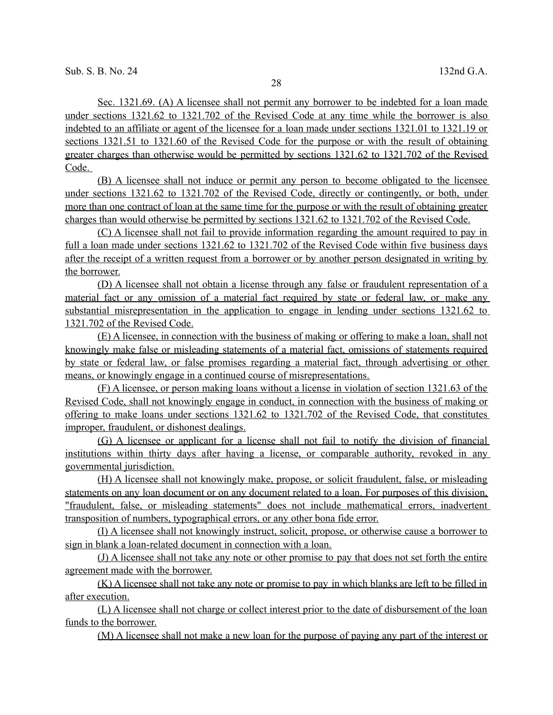Sec. 1321.69. (A) A licensee shall not permit any borrower to be indebted for a loan made under sections 1321.62 to 1321.702 of the Revised Code at any time while the borrower is also indebted to an affiliate or agent of the licensee for a loan made under sections 1321.01 to 1321.19 or sections 1321.51 to 1321.60 of the Revised Code for the purpose or with the result of obtaining greater charges than otherwise would be permitted by sections 1321.62 to 1321.702 of the Revised Code.

 (B) A licensee shall not induce or permit any person to become obligated to the licensee under sections 1321.62 to 1321.702 of the Revised Code, directly or contingently, or both, under more than one contract of loan at the same time for the purpose or with the result of obtaining greater charges than would otherwise be permitted by sections 1321.62 to 1321.702 of the Revised Code.

 (C) A licensee shall not fail to provide information regarding the amount required to pay in full a loan made under sections 1321.62 to 1321.702 of the Revised Code within five business days after the receipt of a written request from a borrower or by another person designated in writing by the borrower.

 (D) A licensee shall not obtain a license through any false or fraudulent representation of a material fact or any omission of a material fact required by state or federal law, or make any substantial misrepresentation in the application to engage in lending under sections 1321.62 to 1321.702 of the Revised Code.

 (E) A licensee, in connection with the business of making or offering to make a loan, shall not knowingly make false or misleading statements of a material fact, omissions of statements required by state or federal law, or false promises regarding a material fact, through advertising or other means, or knowingly engage in a continued course of misrepresentations.

 (F) A licensee, or person making loans without a license in violation of section 1321.63 of the Revised Code, shall not knowingly engage in conduct, in connection with the business of making or offering to make loans under sections 1321.62 to 1321.702 of the Revised Code, that constitutes improper, fraudulent, or dishonest dealings.

 (G) A licensee or applicant for a license shall not fail to notify the division of financial institutions within thirty days after having a license, or comparable authority, revoked in any governmental jurisdiction.

 (H) A licensee shall not knowingly make, propose, or solicit fraudulent, false, or misleading statements on any loan document or on any document related to a loan. For purposes of this division, "fraudulent, false, or misleading statements" does not include mathematical errors, inadvertent transposition of numbers, typographical errors, or any other bona fide error.

 (I) A licensee shall not knowingly instruct, solicit, propose, or otherwise cause a borrower to sign in blank a loan-related document in connection with a loan.

 (J) A licensee shall not take any note or other promise to pay that does not set forth the entire agreement made with the borrower.

 (K) A licensee shall not take any note or promise to pay in which blanks are left to be filled in after execution.

 (L) A licensee shall not charge or collect interest prior to the date of disbursement of the loan funds to the borrower.

(M) A licensee shall not make a new loan for the purpose of paying any part of the interest or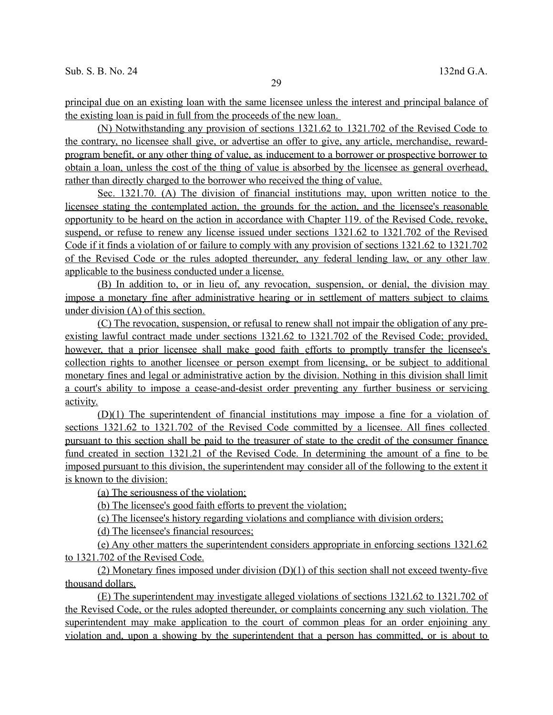principal due on an existing loan with the same licensee unless the interest and principal balance of the existing loan is paid in full from the proceeds of the new loan.

 (N) Notwithstanding any provision of sections 1321.62 to 1321.702 of the Revised Code to the contrary, no licensee shall give, or advertise an offer to give, any article, merchandise, reward program benefit, or any other thing of value, as inducement to a borrower or prospective borrower to obtain a loan, unless the cost of the thing of value is absorbed by the licensee as general overhead, rather than directly charged to the borrower who received the thing of value.

 Sec. 1321.70. (A) The division of financial institutions may, upon written notice to the licensee stating the contemplated action, the grounds for the action, and the licensee's reasonable opportunity to be heard on the action in accordance with Chapter 119. of the Revised Code, revoke, suspend, or refuse to renew any license issued under sections 1321.62 to 1321.702 of the Revised Code if it finds a violation of or failure to comply with any provision of sections 1321.62 to 1321.702 of the Revised Code or the rules adopted thereunder, any federal lending law, or any other law applicable to the business conducted under a license.

 (B) In addition to, or in lieu of, any revocation, suspension, or denial, the division may impose a monetary fine after administrative hearing or in settlement of matters subject to claims under division (A) of this section.

 (C) The revocation, suspension, or refusal to renew shall not impair the obligation of any pre existing lawful contract made under sections 1321.62 to 1321.702 of the Revised Code; provided, however, that a prior licensee shall make good faith efforts to promptly transfer the licensee's collection rights to another licensee or person exempt from licensing, or be subject to additional monetary fines and legal or administrative action by the division. Nothing in this division shall limit a court's ability to impose a cease-and-desist order preventing any further business or servicing activity.

 (D)(1) The superintendent of financial institutions may impose a fine for a violation of sections 1321.62 to 1321.702 of the Revised Code committed by a licensee. All fines collected pursuant to this section shall be paid to the treasurer of state to the credit of the consumer finance fund created in section 1321.21 of the Revised Code. In determining the amount of a fine to be imposed pursuant to this division, the superintendent may consider all of the following to the extent it is known to the division:

(a) The seriousness of the violation;

(b) The licensee's good faith efforts to prevent the violation;

(c) The licensee's history regarding violations and compliance with division orders;

(d) The licensee's financial resources;

(e) Any other matters the superintendent considers appropriate in enforcing sections 1321.62 to 1321.702 of the Revised Code.

(2) Monetary fines imposed under division  $(D)(1)$  of this section shall not exceed twenty-five thousand dollars.

 (E) The superintendent may investigate alleged violations of sections 1321.62 to 1321.702 of the Revised Code, or the rules adopted thereunder, or complaints concerning any such violation. The superintendent may make application to the court of common pleas for an order enjoining any violation and, upon a showing by the superintendent that a person has committed, or is about to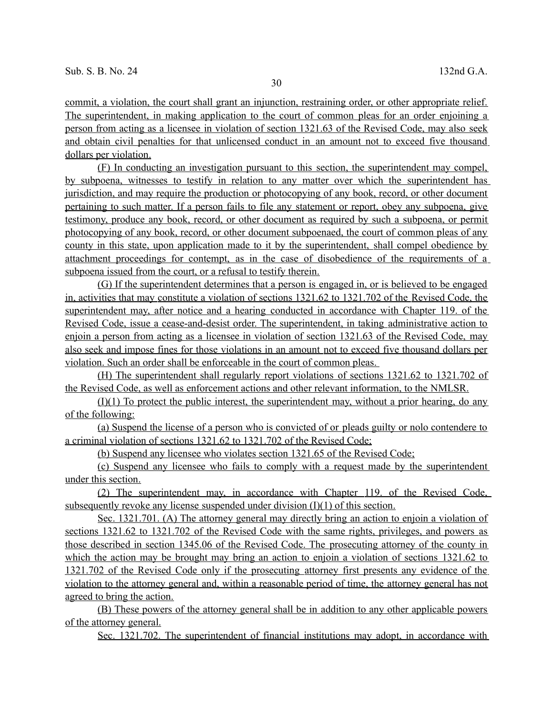commit, a violation, the court shall grant an injunction, restraining order, or other appropriate relief. The superintendent, in making application to the court of common pleas for an order enjoining a person from acting as a licensee in violation of section 1321.63 of the Revised Code, may also seek and obtain civil penalties for that unlicensed conduct in an amount not to exceed five thousand dollars per violation.

 (F) In conducting an investigation pursuant to this section, the superintendent may compel, by subpoena, witnesses to testify in relation to any matter over which the superintendent has jurisdiction, and may require the production or photocopying of any book, record, or other document pertaining to such matter. If a person fails to file any statement or report, obey any subpoena, give testimony, produce any book, record, or other document as required by such a subpoena, or permit photocopying of any book, record, or other document subpoenaed, the court of common pleas of any county in this state, upon application made to it by the superintendent, shall compel obedience by attachment proceedings for contempt, as in the case of disobedience of the requirements of a subpoena issued from the court, or a refusal to testify therein.

 (G) If the superintendent determines that a person is engaged in, or is believed to be engaged in, activities that may constitute a violation of sections 1321.62 to 1321.702 of the Revised Code, the superintendent may, after notice and a hearing conducted in accordance with Chapter 119. of the Revised Code, issue a cease-and-desist order. The superintendent, in taking administrative action to enjoin a person from acting as a licensee in violation of section 1321.63 of the Revised Code, may also seek and impose fines for those violations in an amount not to exceed five thousand dollars per violation. Such an order shall be enforceable in the court of common pleas.

 (H) The superintendent shall regularly report violations of sections 1321.62 to 1321.702 of the Revised Code, as well as enforcement actions and other relevant information, to the NMLSR.

 $(I)(1)$  To protect the public interest, the superintendent may, without a prior hearing, do any of the following:

 (a) Suspend the license of a person who is convicted of or pleads guilty or nolo contendere to a criminal violation of sections 1321.62 to 1321.702 of the Revised Code;

(b) Suspend any licensee who violates section 1321.65 of the Revised Code;

 (c) Suspend any licensee who fails to comply with a request made by the superintendent under this section.

 (2) The superintendent may, in accordance with Chapter 119. of the Revised Code, subsequently revoke any license suspended under division (I)(1) of this section.

 Sec. 1321.701. (A) The attorney general may directly bring an action to enjoin a violation of sections 1321.62 to 1321.702 of the Revised Code with the same rights, privileges, and powers as those described in section 1345.06 of the Revised Code. The prosecuting attorney of the county in which the action may be brought may bring an action to enjoin a violation of sections 1321.62 to 1321.702 of the Revised Code only if the prosecuting attorney first presents any evidence of the violation to the attorney general and, within a reasonable period of time, the attorney general has not agreed to bring the action.

 (B) These powers of the attorney general shall be in addition to any other applicable powers of the attorney general.

Sec. 1321.702. The superintendent of financial institutions may adopt, in accordance with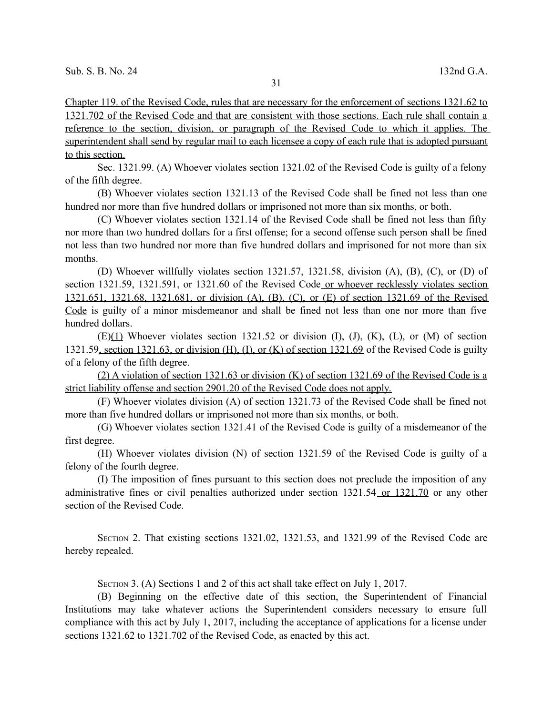Chapter 119. of the Revised Code, rules that are necessary for the enforcement of sections 1321.62 to 1321.702 of the Revised Code and that are consistent with those sections. Each rule shall contain a reference to the section, division, or paragraph of the Revised Code to which it applies. The superintendent shall send by regular mail to each licensee a copy of each rule that is adopted pursuant to this section.

Sec. 1321.99. (A) Whoever violates section 1321.02 of the Revised Code is guilty of a felony of the fifth degree.

(B) Whoever violates section 1321.13 of the Revised Code shall be fined not less than one hundred nor more than five hundred dollars or imprisoned not more than six months, or both.

(C) Whoever violates section 1321.14 of the Revised Code shall be fined not less than fifty nor more than two hundred dollars for a first offense; for a second offense such person shall be fined not less than two hundred nor more than five hundred dollars and imprisoned for not more than six months.

(D) Whoever willfully violates section 1321.57, 1321.58, division (A), (B), (C), or (D) of section 1321.59, 1321.591, or 1321.60 of the Revised Code or whoever recklessly violates section 1321.651, 1321.68, 1321.681, or division (A), (B), (C), or (E) of section 1321.69 of the Revised Code is guilty of a minor misdemeanor and shall be fined not less than one nor more than five hundred dollars.

 $(E)(1)$  Whoever violates section 1321.52 or division (I), (J), (K), (L), or (M) of section 1321.59, section 1321.63, or division (H), (I), or (K) of section 1321.69 of the Revised Code is guilty of a felony of the fifth degree.

 (2) A violation of section 1321.63 or division (K) of section 1321.69 of the Revised Code is a strict liability offense and section 2901.20 of the Revised Code does not apply.

(F) Whoever violates division (A) of section 1321.73 of the Revised Code shall be fined not more than five hundred dollars or imprisoned not more than six months, or both.

(G) Whoever violates section 1321.41 of the Revised Code is guilty of a misdemeanor of the first degree.

(H) Whoever violates division (N) of section 1321.59 of the Revised Code is guilty of a felony of the fourth degree.

(I) The imposition of fines pursuant to this section does not preclude the imposition of any administrative fines or civil penalties authorized under section 1321.54 or 1321.70 or any other section of the Revised Code.

SECTION 2. That existing sections 1321.02, 1321.53, and 1321.99 of the Revised Code are hereby repealed.

SECTION 3. (A) Sections 1 and 2 of this act shall take effect on July 1, 2017.

(B) Beginning on the effective date of this section, the Superintendent of Financial Institutions may take whatever actions the Superintendent considers necessary to ensure full compliance with this act by July 1, 2017, including the acceptance of applications for a license under sections 1321.62 to 1321.702 of the Revised Code, as enacted by this act.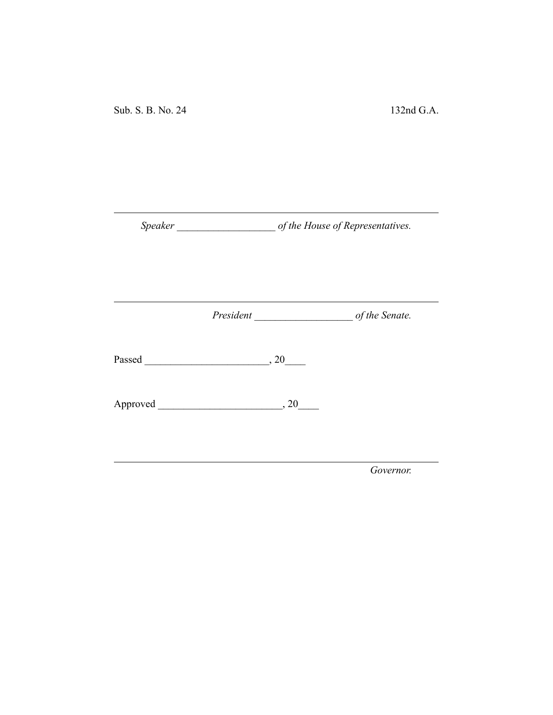*Speaker \_\_\_\_\_\_\_\_\_\_\_\_\_\_\_\_\_\_\_ of the House of Representatives.*

*President \_\_\_\_\_\_\_\_\_\_\_\_\_\_\_\_\_\_\_ of the Senate.*

Passed \_\_\_\_\_\_\_\_\_\_\_\_\_\_\_\_\_\_\_\_\_\_\_\_, 20\_\_\_\_

Approved \_\_\_\_\_\_\_\_\_\_\_\_\_\_\_\_\_\_\_\_\_\_\_\_, 20\_\_\_\_

*Governor.*